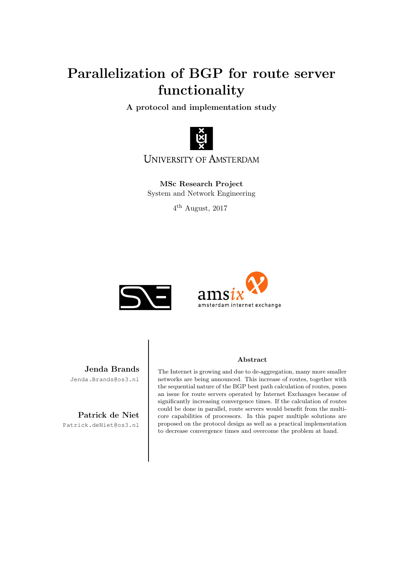# Parallelization of BGP for route server functionality

A protocol and implementation study



**UNIVERSITY OF AMSTERDAM** 

MSc Research Project System and Network Engineering

 $4^{\text{th}}$  August, 2017





Jenda Brands Jenda.Brands@os3.nl

Patrick de Niet Patrick.deNiet@os3.nl

#### Abstract

The Internet is growing and due to de-aggregation, many more smaller networks are being announced. This increase of routes, together with the sequential nature of the BGP best path calculation of routes, poses an issue for route servers operated by Internet Exchanges because of significantly increasing convergence times. If the calculation of routes could be done in parallel, route servers would benefit from the multicore capabilities of processors. In this paper multiple solutions are proposed on the protocol design as well as a practical implementation to decrease convergence times and overcome the problem at hand.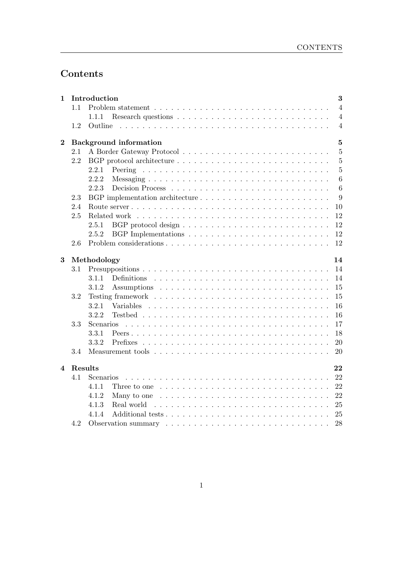## Contents

| $\mathbf{1}$     |         | Introduction |                                                                                      | 3               |
|------------------|---------|--------------|--------------------------------------------------------------------------------------|-----------------|
|                  | 1.1     |              |                                                                                      | $\overline{4}$  |
|                  |         | 1.1.1        |                                                                                      | $\overline{4}$  |
|                  | 1.2     | Outline      |                                                                                      | $\overline{4}$  |
| $\boldsymbol{2}$ |         |              | <b>Background</b> information                                                        | $\overline{5}$  |
|                  | 2.1     |              |                                                                                      | $\overline{5}$  |
|                  | 2.2     |              |                                                                                      | $\overline{5}$  |
|                  |         | 2.2.1        |                                                                                      | $\overline{5}$  |
|                  |         | 2.2.2        |                                                                                      | $6\phantom{.}6$ |
|                  |         | 2.2.3        |                                                                                      | 6               |
|                  | 2.3     |              | BGP implementation architecture                                                      | 9               |
|                  | 2.4     |              |                                                                                      | 10              |
|                  | 2.5     |              |                                                                                      | 12              |
|                  |         | 2.5.1        |                                                                                      | 12              |
|                  |         | 2.5.2        |                                                                                      | 12              |
|                  | 2.6     |              |                                                                                      | 12              |
| $\bf{3}$         |         | Methodology  |                                                                                      | 14              |
|                  | 3.1     |              |                                                                                      | 14              |
|                  |         | 3.1.1        |                                                                                      | 14              |
|                  |         | 3.1.2        |                                                                                      | 15              |
|                  | 3.2     |              |                                                                                      | 15              |
|                  |         | 3.2.1        | Variables                                                                            | 16              |
|                  |         | 3.2.2        |                                                                                      | 16              |
|                  | 3.3     | Scenarios    |                                                                                      | 17              |
|                  |         | 3.3.1        |                                                                                      | 18              |
|                  |         | 3.3.2        |                                                                                      | 20              |
|                  | 3.4     |              |                                                                                      | 20              |
| $\overline{4}$   | Results |              |                                                                                      | 22              |
|                  | 4.1     | Scenarios    |                                                                                      | 22              |
|                  |         | 4.1.1        | Three to one $\ldots \ldots \ldots \ldots \ldots \ldots \ldots \ldots \ldots \ldots$ | 22              |
|                  |         | 4.1.2        |                                                                                      | 22              |
|                  |         | 4.1.3        | Real world                                                                           | 25              |
|                  |         | 4.1.4        |                                                                                      | 25              |
|                  | 4.2     |              |                                                                                      | 28              |
|                  |         |              |                                                                                      |                 |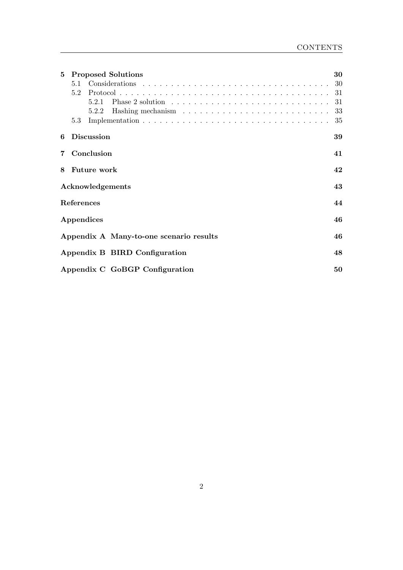| 5              | <b>Proposed Solutions</b>                                                                  | 30  |
|----------------|--------------------------------------------------------------------------------------------|-----|
|                |                                                                                            | 30  |
|                | 5.2                                                                                        | -31 |
|                | Phase 2 solution $\ldots \ldots \ldots \ldots \ldots \ldots \ldots \ldots \ldots$<br>5.2.1 | 31  |
|                | 5.2.2                                                                                      | -33 |
|                | 5.3                                                                                        | 35  |
| 6              | <b>Discussion</b>                                                                          | 39  |
| $\overline{7}$ | Conclusion                                                                                 | 41  |
| 8              | <b>Future work</b>                                                                         | 42  |
|                | Acknowledgements                                                                           | 43  |
|                | References                                                                                 | 44  |
|                | Appendices                                                                                 | 46  |
|                | Appendix A Many-to-one scenario results                                                    | 46  |
|                | Appendix B BIRD Configuration                                                              | 48  |
|                | Appendix C GoBGP Configuration                                                             | 50  |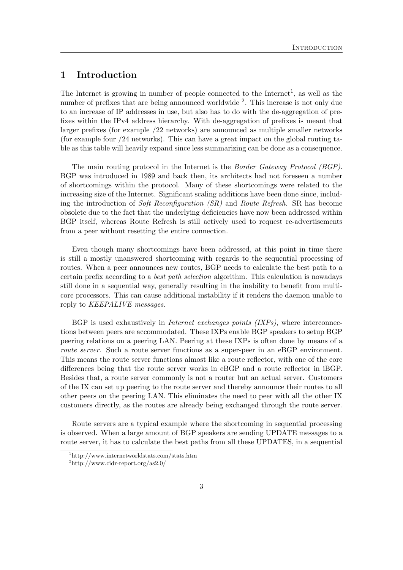## <span id="page-3-0"></span>1 Introduction

The Internet is growing in number of people connected to the Internet<sup>[1](#page-3-1)</sup>, as well as the number of prefixes that are being announced worldwide <sup>[2](#page-3-2)</sup>. This increase is not only due to an increase of IP addresses in use, but also has to do with the de-aggregation of prefixes within the IPv4 address hierarchy. With de-aggregation of prefixes is meant that larger prefixes (for example /22 networks) are announced as multiple smaller networks (for example four /24 networks). This can have a great impact on the global routing table as this table will heavily expand since less summarizing can be done as a consequence.

The main routing protocol in the Internet is the Border Gateway Protocol (BGP). BGP was introduced in 1989 and back then, its architects had not foreseen a number of shortcomings within the protocol. Many of these shortcomings were related to the increasing size of the Internet. Significant scaling additions have been done since, including the introduction of Soft Reconfiguration (SR) and Route Refresh. SR has become obsolete due to the fact that the underlying deficiencies have now been addressed within BGP itself, whereas Route Refresh is still actively used to request re-advertisements from a peer without resetting the entire connection.

Even though many shortcomings have been addressed, at this point in time there is still a mostly unanswered shortcoming with regards to the sequential processing of routes. When a peer announces new routes, BGP needs to calculate the best path to a certain prefix according to a best path selection algorithm. This calculation is nowadays still done in a sequential way, generally resulting in the inability to benefit from multicore processors. This can cause additional instability if it renders the daemon unable to reply to KEEPALIVE messages.

BGP is used exhaustively in *Internet exchanges points*  $(IXPs)$ , where interconnections between peers are accommodated. These IXPs enable BGP speakers to setup BGP peering relations on a peering LAN. Peering at these IXPs is often done by means of a route server. Such a route server functions as a super-peer in an eBGP environment. This means the route server functions almost like a route reflector, with one of the core differences being that the route server works in eBGP and a route reflector in iBGP. Besides that, a route server commonly is not a router but an actual server. Customers of the IX can set up peering to the route server and thereby announce their routes to all other peers on the peering LAN. This eliminates the need to peer with all the other IX customers directly, as the routes are already being exchanged through the route server.

Route servers are a typical example where the shortcoming in sequential processing is observed. When a large amount of BGP speakers are sending UPDATE messages to a route server, it has to calculate the best paths from all these UPDATES, in a sequential

<span id="page-3-1"></span><sup>1</sup>http://www.internetworldstats.com/stats.htm

<span id="page-3-2"></span><sup>2</sup>http://www.cidr-report.org/as2.0/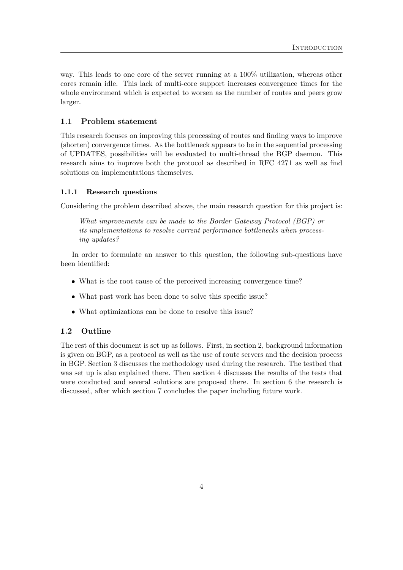way. This leads to one core of the server running at a 100% utilization, whereas other cores remain idle. This lack of multi-core support increases convergence times for the whole environment which is expected to worsen as the number of routes and peers grow larger.

## <span id="page-4-0"></span>1.1 Problem statement

This research focuses on improving this processing of routes and finding ways to improve (shorten) convergence times. As the bottleneck appears to be in the sequential processing of UPDATES, possibilities will be evaluated to multi-thread the BGP daemon. This research aims to improve both the protocol as described in RFC 4271 as well as find solutions on implementations themselves.

#### <span id="page-4-1"></span>1.1.1 Research questions

Considering the problem described above, the main research question for this project is:

What improvements can be made to the Border Gateway Protocol (BGP) or its implementations to resolve current performance bottlenecks when processing updates?

In order to formulate an answer to this question, the following sub-questions have been identified:

- What is the root cause of the perceived increasing convergence time?
- What past work has been done to solve this specific issue?
- What optimizations can be done to resolve this issue?

#### <span id="page-4-2"></span>1.2 Outline

The rest of this document is set up as follows. First, in section [2,](#page-5-0) background information is given on BGP, as a protocol as well as the use of route servers and the decision process in BGP. Section [3](#page-14-0) discusses the methodology used during the research. The testbed that was set up is also explained there. Then section [4](#page-22-0) discusses the results of the tests that were conducted and several solutions are proposed there. In section [6](#page-39-0) the research is discussed, after which section [7](#page-41-0) concludes the paper including future work.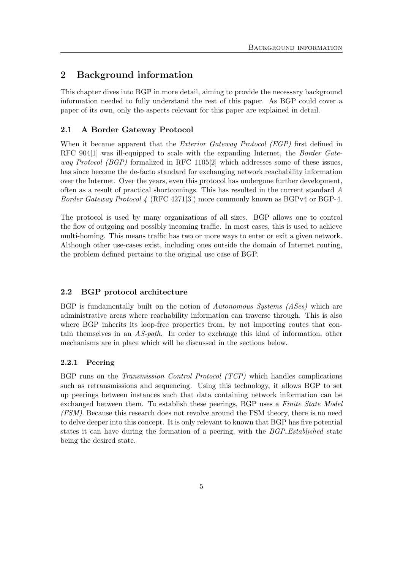## <span id="page-5-0"></span>2 Background information

This chapter dives into BGP in more detail, aiming to provide the necessary background information needed to fully understand the rest of this paper. As BGP could cover a paper of its own, only the aspects relevant for this paper are explained in detail.

## <span id="page-5-1"></span>2.1 A Border Gateway Protocol

When it became apparent that the *Exterior Gateway Protocol (EGP)* first defined in RFC 904<sup>[\[1\]](#page-44-0)</sup> was ill-equipped to scale with the expanding Internet, the *Border Gateway Protocol (BGP)* formalized in RFC 1105<sup>[\[2\]](#page-44-1)</sup> which addresses some of these issues, has since become the de-facto standard for exchanging network reachability information over the Internet. Over the years, even this protocol has undergone further development, often as a result of practical shortcomings. This has resulted in the current standard A Border Gateway Protocol 4 (RFC 4271[\[3\]](#page-44-2)) more commonly known as BGPv4 or BGP-4.

The protocol is used by many organizations of all sizes. BGP allows one to control the flow of outgoing and possibly incoming traffic. In most cases, this is used to achieve multi-homing. This means traffic has two or more ways to enter or exit a given network. Although other use-cases exist, including ones outside the domain of Internet routing, the problem defined pertains to the original use case of BGP.

## <span id="page-5-2"></span>2.2 BGP protocol architecture

BGP is fundamentally built on the notion of Autonomous Systems (ASes) which are administrative areas where reachability information can traverse through. This is also where BGP inherits its loop-free properties from, by not importing routes that contain themselves in an AS-path. In order to exchange this kind of information, other mechanisms are in place which will be discussed in the sections below.

## <span id="page-5-3"></span>2.2.1 Peering

<span id="page-5-4"></span>BGP runs on the Transmission Control Protocol (TCP) which handles complications such as retransmissions and sequencing. Using this technology, it allows BGP to set up peerings between instances such that data containing network information can be exchanged between them. To establish these peerings, BGP uses a *Finite State Model* (FSM). Because this research does not revolve around the FSM theory, there is no need to delve deeper into this concept. It is only relevant to known that BGP has five potential states it can have during the formation of a peering, with the *BGP\_Established* state being the desired state.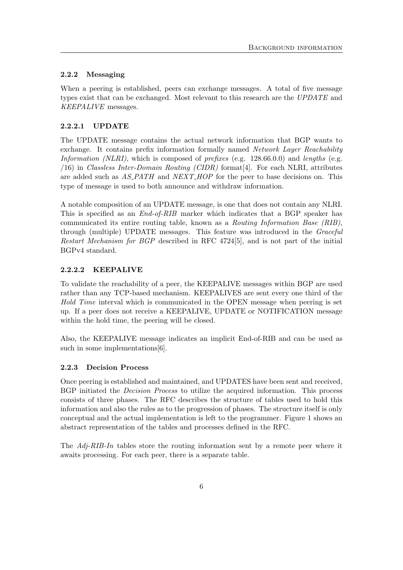## 2.2.2 Messaging

When a peering is established, peers can exchange messages. A total of five message types exist that can be exchanged. Most relevant to this research are the UPDATE and KEEPALIVE messages.

## 2.2.2.1 UPDATE

The UPDATE message contains the actual network information that BGP wants to exchange. It contains prefix information formally named Network Layer Reachability Information (NLRI), which is composed of prefixes (e.g.  $128.66.0.0$ ) and lengths (e.g. /16) in Classless Inter-Domain Routing (CIDR) format[\[4\]](#page-44-3). For each NLRI, attributes are added such as  $AS$ - $PATH$  and  $NEXT$ - $HOP$  for the peer to base decisions on. This type of message is used to both announce and withdraw information.

A notable composition of an UPDATE message, is one that does not contain any NLRI. This is specified as an End-of-RIB marker which indicates that a BGP speaker has communicated its entire routing table, known as a Routing Information Base (RIB), through (multiple) UPDATE messages. This feature was introduced in the Graceful Restart Mechanism for BGP described in RFC 4724[\[5\]](#page-44-4), and is not part of the initial BGPv4 standard.

## 2.2.2.2 KEEPALIVE

To validate the reachability of a peer, the KEEPALIVE messages within BGP are used rather than any TCP-based mechanism. KEEPALIVES are sent every one third of the Hold Time interval which is communicated in the OPEN message when peering is set up. If a peer does not receive a KEEPALIVE, UPDATE or NOTIFICATION message within the hold time, the peering will be closed.

Also, the KEEPALIVE message indicates an implicit End-of-RIB and can be used as such in some implementations [\[6\]](#page-44-5).

## <span id="page-6-0"></span>2.2.3 Decision Process

Once peering is established and maintained, and UPDATES have been sent and received, BGP initiated the Decision Process to utilize the acquired information. This process consists of three phases. The RFC describes the structure of tables used to hold this information and also the rules as to the progression of phases. The structure itself is only conceptual and the actual implementation is left to the programmer. Figure [1](#page-7-0) shows an abstract representation of the tables and processes defined in the RFC.

The Adj-RIB-In tables store the routing information sent by a remote peer where it awaits processing. For each peer, there is a separate table.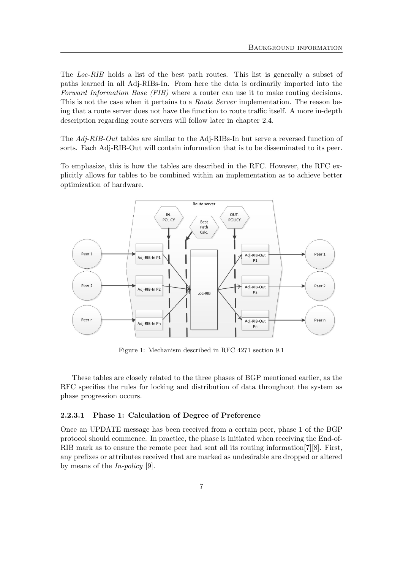The Loc-RIB holds a list of the best path routes. This list is generally a subset of paths learned in all Adj-RIBs-In. From here the data is ordinarily imported into the Forward Information Base (FIB) where a router can use it to make routing decisions. This is not the case when it pertains to a *Route Server* implementation. The reason being that a route server does not have the function to route traffic itself. A more in-depth description regarding route servers will follow later in chapter [2.4.](#page-10-0)

The Adj-RIB-Out tables are similar to the Adj-RIBs-In but serve a reversed function of sorts. Each Adj-RIB-Out will contain information that is to be disseminated to its peer.

To emphasize, this is how the tables are described in the RFC. However, the RFC explicitly allows for tables to be combined within an implementation as to achieve better optimization of hardware.

<span id="page-7-0"></span>

Figure 1: Mechanism described in RFC 4271 section 9.1

These tables are closely related to the three phases of BGP mentioned earlier, as the RFC specifies the rules for locking and distribution of data throughout the system as phase progression occurs.

#### 2.2.3.1 Phase 1: Calculation of Degree of Preference

Once an UPDATE message has been received from a certain peer, phase 1 of the BGP protocol should commence. In practice, the phase is initiated when receiving the End-of-RIB mark as to ensure the remote peer had sent all its routing information[\[7\]](#page-44-6)[\[8\]](#page-44-7). First, any prefixes or attributes received that are marked as undesirable are dropped or altered by means of the  $In\text{-}policy$  [\[9\]](#page-44-8).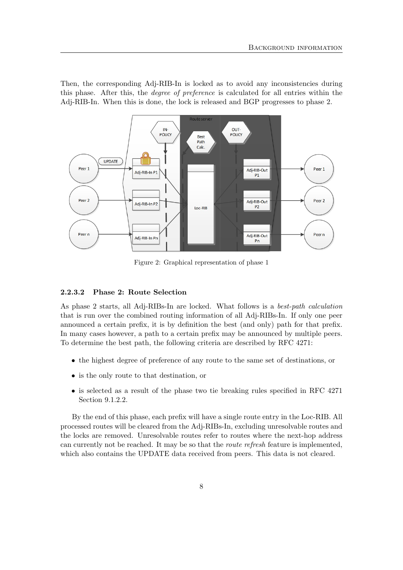Then, the corresponding Adj-RIB-In is locked as to avoid any inconsistencies during this phase. After this, the degree of preference is calculated for all entries within the Adj-RIB-In. When this is done, the lock is released and BGP progresses to phase 2.



Figure 2: Graphical representation of phase 1

#### 2.2.3.2 Phase 2: Route Selection

As phase 2 starts, all Adj-RIBs-In are locked. What follows is a best-path calculation that is run over the combined routing information of all Adj-RIBs-In. If only one peer announced a certain prefix, it is by definition the best (and only) path for that prefix. In many cases however, a path to a certain prefix may be announced by multiple peers. To determine the best path, the following criteria are described by RFC 4271:

- the highest degree of preference of any route to the same set of destinations, or
- is the only route to that destination, or
- is selected as a result of the phase two tie breaking rules specified in RFC 4271 Section 9.1.2.2.

By the end of this phase, each prefix will have a single route entry in the Loc-RIB. All processed routes will be cleared from the Adj-RIBs-In, excluding unresolvable routes and the locks are removed. Unresolvable routes refer to routes where the next-hop address can currently not be reached. It may be so that the route refresh feature is implemented, which also contains the UPDATE data received from peers. This data is not cleared.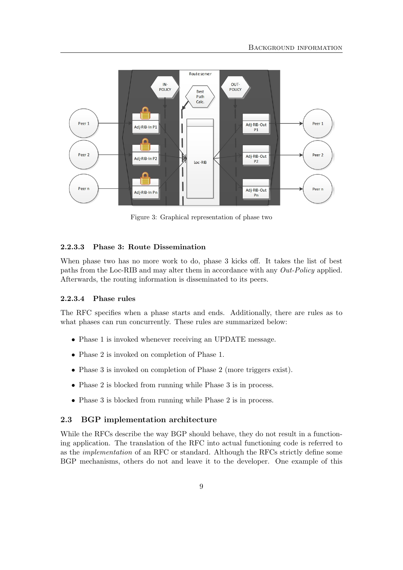

Figure 3: Graphical representation of phase two

#### 2.2.3.3 Phase 3: Route Dissemination

When phase two has no more work to do, phase 3 kicks off. It takes the list of best paths from the Loc-RIB and may alter them in accordance with any Out-Policy applied. Afterwards, the routing information is disseminated to its peers.

#### 2.2.3.4 Phase rules

The RFC specifies when a phase starts and ends. Additionally, there are rules as to what phases can run concurrently. These rules are summarized below:

- Phase 1 is invoked whenever receiving an UPDATE message.
- Phase 2 is invoked on completion of Phase 1.
- Phase 3 is invoked on completion of Phase 2 (more triggers exist).
- Phase 2 is blocked from running while Phase 3 is in process.
- Phase 3 is blocked from running while Phase 2 is in process.

### <span id="page-9-0"></span>2.3 BGP implementation architecture

While the RFCs describe the way BGP should behave, they do not result in a functioning application. The translation of the RFC into actual functioning code is referred to as the implementation of an RFC or standard. Although the RFCs strictly define some BGP mechanisms, others do not and leave it to the developer. One example of this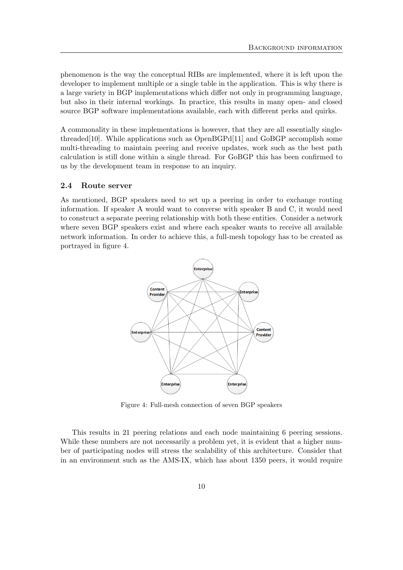phenomenon is the way the conceptual RIBs are implemented, where it is left upon the developer to implement multiple or a single table in the application. This is why there is a large variety in BGP implementations which differ not only in programming language, but also in their internal workings. In practice, this results in many open- and closed source BGP software implementations available, each with different perks and quirks.

A commonality in these implementations is however, that they are all essentially single-threaded [\[10\]](#page-44-9). While applications such as  $OpenBGPd[11]$  $OpenBGPd[11]$  and  $GoBGP$  accomplish some multi-threading to maintain peering and receive updates, work such as the best path calculation is still done within a single thread. For GoBGP this has been confirmed to us by the development team in response to an inquiry.

### <span id="page-10-0"></span>2.4 Route server

<span id="page-10-1"></span>As mentioned, BGP speakers need to set up a peering in order to exchange routing information. If speaker A would want to converse with speaker B and C, it would need to construct a separate peering relationship with both these entities. Consider a network where seven BGP speakers exist and where each speaker wants to receive all available network information. In order to achieve this, a full-mesh topology has to be created as portrayed in figure [4.](#page-10-1)



Figure 4: Full-mesh connection of seven BGP speakers

This results in 21 peering relations and each node maintaining 6 peering sessions. While these numbers are not necessarily a problem yet, it is evident that a higher number of participating nodes will stress the scalability of this architecture. Consider that in an environment such as the AMS-IX, which has about 1350 peers, it would require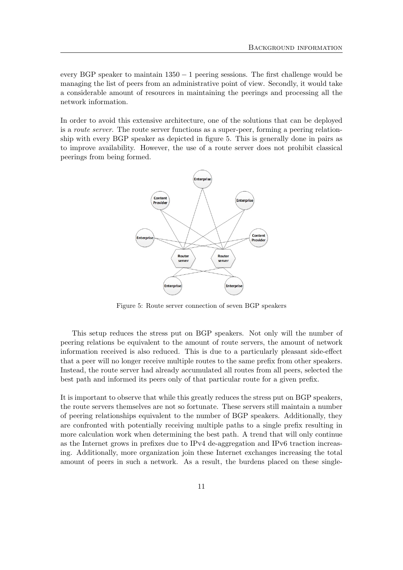every BGP speaker to maintain 1350 − 1 peering sessions. The first challenge would be managing the list of peers from an administrative point of view. Secondly, it would take a considerable amount of resources in maintaining the peerings and processing all the network information.

<span id="page-11-0"></span>In order to avoid this extensive architecture, one of the solutions that can be deployed is a route server. The route server functions as a super-peer, forming a peering relationship with every BGP speaker as depicted in figure [5.](#page-11-0) This is generally done in pairs as to improve availability. However, the use of a route server does not prohibit classical peerings from being formed.



Figure 5: Route server connection of seven BGP speakers

This setup reduces the stress put on BGP speakers. Not only will the number of peering relations be equivalent to the amount of route servers, the amount of network information received is also reduced. This is due to a particularly pleasant side-effect that a peer will no longer receive multiple routes to the same prefix from other speakers. Instead, the route server had already accumulated all routes from all peers, selected the best path and informed its peers only of that particular route for a given prefix.

It is important to observe that while this greatly reduces the stress put on BGP speakers, the route servers themselves are not so fortunate. These servers still maintain a number of peering relationships equivalent to the number of BGP speakers. Additionally, they are confronted with potentially receiving multiple paths to a single prefix resulting in more calculation work when determining the best path. A trend that will only continue as the Internet grows in prefixes due to IPv4 de-aggregation and IPv6 traction increasing. Additionally, more organization join these Internet exchanges increasing the total amount of peers in such a network. As a result, the burdens placed on these single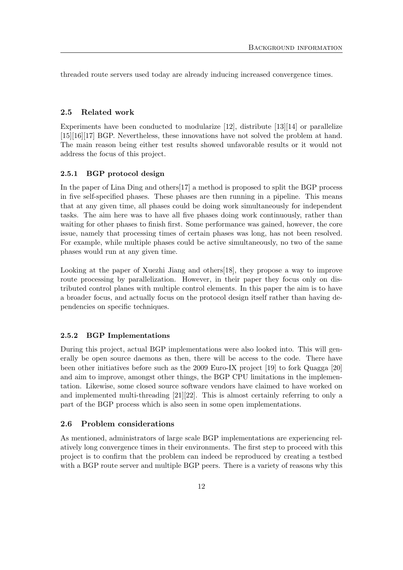threaded route servers used today are already inducing increased convergence times.

#### <span id="page-12-0"></span>2.5 Related work

Experiments have been conducted to modularize  $[12]$ , distribute  $[13][14]$  $[13][14]$  or parallelize [\[15\]](#page-44-14)[\[16\]](#page-44-15)[\[17\]](#page-44-16) BGP. Nevertheless, these innovations have not solved the problem at hand. The main reason being either test results showed unfavorable results or it would not address the focus of this project.

#### <span id="page-12-1"></span>2.5.1 BGP protocol design

In the paper of Lina Ding and others[\[17\]](#page-44-16) a method is proposed to split the BGP process in five self-specified phases. These phases are then running in a pipeline. This means that at any given time, all phases could be doing work simultaneously for independent tasks. The aim here was to have all five phases doing work continuously, rather than waiting for other phases to finish first. Some performance was gained, however, the core issue, namely that processing times of certain phases was long, has not been resolved. For example, while multiple phases could be active simultaneously, no two of the same phases would run at any given time.

Looking at the paper of Xuezhi Jiang and others[\[18\]](#page-44-17), they propose a way to improve route processing by parallelization. However, in their paper they focus only on distributed control planes with multiple control elements. In this paper the aim is to have a broader focus, and actually focus on the protocol design itself rather than having dependencies on specific techniques.

#### <span id="page-12-2"></span>2.5.2 BGP Implementations

During this project, actual BGP implementations were also looked into. This will generally be open source daemons as then, there will be access to the code. There have been other initiatives before such as the 2009 Euro-IX project [\[19\]](#page-44-18) to fork Quagga [\[20\]](#page-45-0) and aim to improve, amongst other things, the BGP CPU limitations in the implementation. Likewise, some closed source software vendors have claimed to have worked on and implemented multi-threading [\[21\]](#page-45-1)[\[22\]](#page-45-2). This is almost certainly referring to only a part of the BGP process which is also seen in some open implementations.

#### <span id="page-12-3"></span>2.6 Problem considerations

As mentioned, administrators of large scale BGP implementations are experiencing relatively long convergence times in their environments. The first step to proceed with this project is to confirm that the problem can indeed be reproduced by creating a testbed with a BGP route server and multiple BGP peers. There is a variety of reasons why this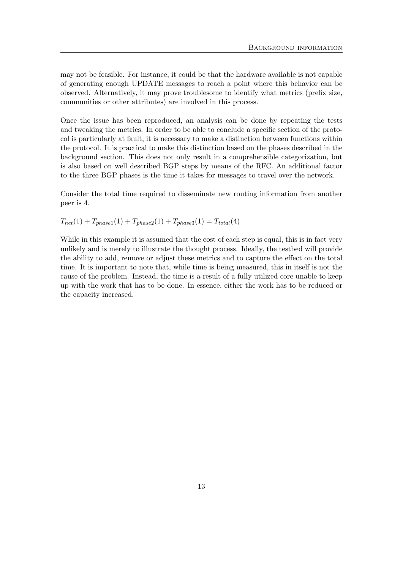may not be feasible. For instance, it could be that the hardware available is not capable of generating enough UPDATE messages to reach a point where this behavior can be observed. Alternatively, it may prove troublesome to identify what metrics (prefix size, communities or other attributes) are involved in this process.

Once the issue has been reproduced, an analysis can be done by repeating the tests and tweaking the metrics. In order to be able to conclude a specific section of the protocol is particularly at fault, it is necessary to make a distinction between functions within the protocol. It is practical to make this distinction based on the phases described in the background section. This does not only result in a comprehensible categorization, but is also based on well described BGP steps by means of the RFC. An additional factor to the three BGP phases is the time it takes for messages to travel over the network.

Consider the total time required to disseminate new routing information from another peer is 4.

$$
T_{net}(1) + T_{phase1}(1) + T_{phase2}(1) + T_{phase3}(1) = T_{total}(4)
$$

While in this example it is assumed that the cost of each step is equal, this is in fact very unlikely and is merely to illustrate the thought process. Ideally, the testbed will provide the ability to add, remove or adjust these metrics and to capture the effect on the total time. It is important to note that, while time is being measured, this in itself is not the cause of the problem. Instead, the time is a result of a fully utilized core unable to keep up with the work that has to be done. In essence, either the work has to be reduced or the capacity increased.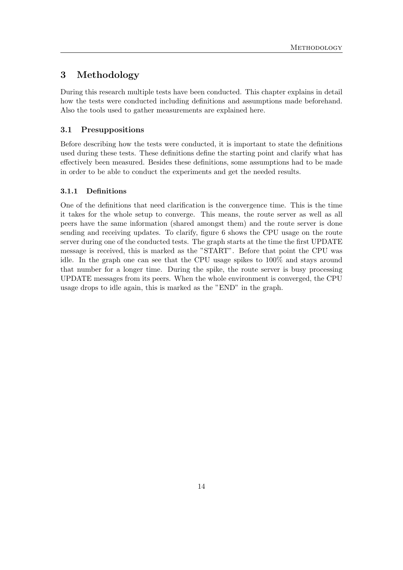## <span id="page-14-0"></span>3 Methodology

During this research multiple tests have been conducted. This chapter explains in detail how the tests were conducted including definitions and assumptions made beforehand. Also the tools used to gather measurements are explained here.

## <span id="page-14-1"></span>3.1 Presuppositions

Before describing how the tests were conducted, it is important to state the definitions used during these tests. These definitions define the starting point and clarify what has effectively been measured. Besides these definitions, some assumptions had to be made in order to be able to conduct the experiments and get the needed results.

## <span id="page-14-2"></span>3.1.1 Definitions

One of the definitions that need clarification is the convergence time. This is the time it takes for the whole setup to converge. This means, the route server as well as all peers have the same information (shared amongst them) and the route server is done sending and receiving updates. To clarify, figure [6](#page-15-3) shows the CPU usage on the route server during one of the conducted tests. The graph starts at the time the first UPDATE message is received, this is marked as the "START". Before that point the CPU was idle. In the graph one can see that the CPU usage spikes to 100% and stays around that number for a longer time. During the spike, the route server is busy processing UPDATE messages from its peers. When the whole environment is converged, the CPU usage drops to idle again, this is marked as the "END" in the graph.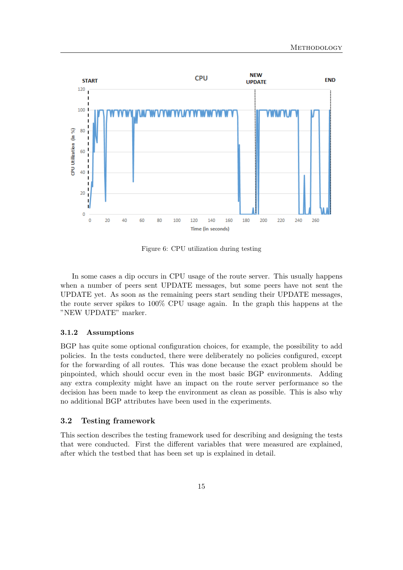<span id="page-15-3"></span>

Figure 6: CPU utilization during testing

In some cases a dip occurs in CPU usage of the route server. This usually happens when a number of peers sent UPDATE messages, but some peers have not sent the UPDATE yet. As soon as the remaining peers start sending their UPDATE messages, the route server spikes to 100% CPU usage again. In the graph this happens at the "NEW UPDATE" marker.

#### <span id="page-15-0"></span>3.1.2 Assumptions

BGP has quite some optional configuration choices, for example, the possibility to add policies. In the tests conducted, there were deliberately no policies configured, except for the forwarding of all routes. This was done because the exact problem should be pinpointed, which should occur even in the most basic BGP environments. Adding any extra complexity might have an impact on the route server performance so the decision has been made to keep the environment as clean as possible. This is also why no additional BGP attributes have been used in the experiments.

#### <span id="page-15-1"></span>3.2 Testing framework

<span id="page-15-2"></span>This section describes the testing framework used for describing and designing the tests that were conducted. First the different variables that were measured are explained, after which the testbed that has been set up is explained in detail.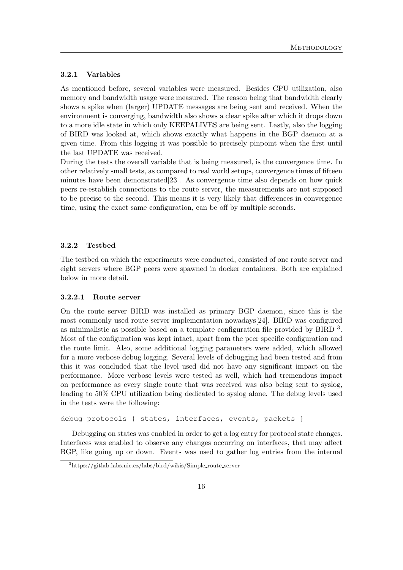#### 3.2.1 Variables

As mentioned before, several variables were measured. Besides CPU utilization, also memory and bandwidth usage were measured. The reason being that bandwidth clearly shows a spike when (larger) UPDATE messages are being sent and received. When the environment is converging, bandwidth also shows a clear spike after which it drops down to a more idle state in which only KEEPALIVES are being sent. Lastly, also the logging of BIRD was looked at, which shows exactly what happens in the BGP daemon at a given time. From this logging it was possible to precisely pinpoint when the first until the last UPDATE was received.

During the tests the overall variable that is being measured, is the convergence time. In other relatively small tests, as compared to real world setups, convergence times of fifteen minutes have been demonstrated  $[23]$ . As convergence time also depends on how quick peers re-establish connections to the route server, the measurements are not supposed to be precise to the second. This means it is very likely that differences in convergence time, using the exact same configuration, can be off by multiple seconds.

### <span id="page-16-0"></span>3.2.2 Testbed

The testbed on which the experiments were conducted, consisted of one route server and eight servers where BGP peers were spawned in docker containers. Both are explained below in more detail.

#### 3.2.2.1 Route server

On the route server BIRD was installed as primary BGP daemon, since this is the most commonly used route server implementation nowadays[\[24\]](#page-45-4). BIRD was configured as minimalistic as possible based on a template configuration file provided by BIRD  $3$ . Most of the configuration was kept intact, apart from the peer specific configuration and the route limit. Also, some additional logging parameters were added, which allowed for a more verbose debug logging. Several levels of debugging had been tested and from this it was concluded that the level used did not have any significant impact on the performance. More verbose levels were tested as well, which had tremendous impact on performance as every single route that was received was also being sent to syslog, leading to 50% CPU utilization being dedicated to syslog alone. The debug levels used in the tests were the following:

debug protocols { states, interfaces, events, packets }

Debugging on states was enabled in order to get a log entry for protocol state changes. Interfaces was enabled to observe any changes occurring on interfaces, that may affect BGP, like going up or down. Events was used to gather log entries from the internal

<span id="page-16-1"></span> $3$ https://gitlab.labs.nic.cz/labs/bird/wikis/Simple\_route\_server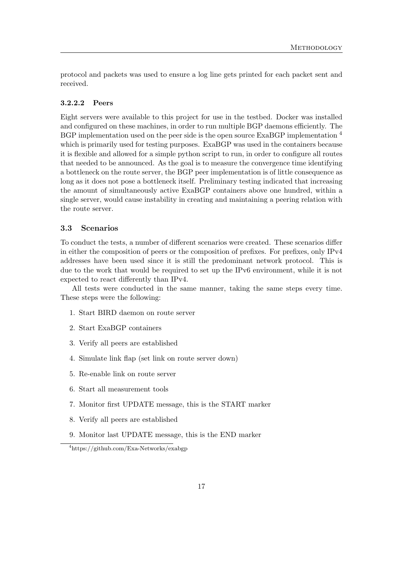protocol and packets was used to ensure a log line gets printed for each packet sent and received.

#### 3.2.2.2 Peers

Eight servers were available to this project for use in the testbed. Docker was installed and configured on these machines, in order to run multiple BGP daemons efficiently. The BGP implementation used on the peer side is the open source ExaBGP implementation <sup>[4](#page-17-1)</sup> which is primarily used for testing purposes. ExaBGP was used in the containers because it is flexible and allowed for a simple python script to run, in order to configure all routes that needed to be announced. As the goal is to measure the convergence time identifying a bottleneck on the route server, the BGP peer implementation is of little consequence as long as it does not pose a bottleneck itself. Preliminary testing indicated that increasing the amount of simultaneously active ExaBGP containers above one hundred, within a single server, would cause instability in creating and maintaining a peering relation with the route server.

## <span id="page-17-0"></span>3.3 Scenarios

To conduct the tests, a number of different scenarios were created. These scenarios differ in either the composition of peers or the composition of prefixes. For prefixes, only IPv4 addresses have been used since it is still the predominant network protocol. This is due to the work that would be required to set up the IPv6 environment, while it is not expected to react differently than IPv4.

All tests were conducted in the same manner, taking the same steps every time. These steps were the following:

- 1. Start BIRD daemon on route server
- 2. Start ExaBGP containers
- 3. Verify all peers are established
- 4. Simulate link flap (set link on route server down)
- 5. Re-enable link on route server
- 6. Start all measurement tools
- 7. Monitor first UPDATE message, this is the START marker
- 8. Verify all peers are established
- 9. Monitor last UPDATE message, this is the END marker

<span id="page-17-1"></span><sup>4</sup>https://github.com/Exa-Networks/exabgp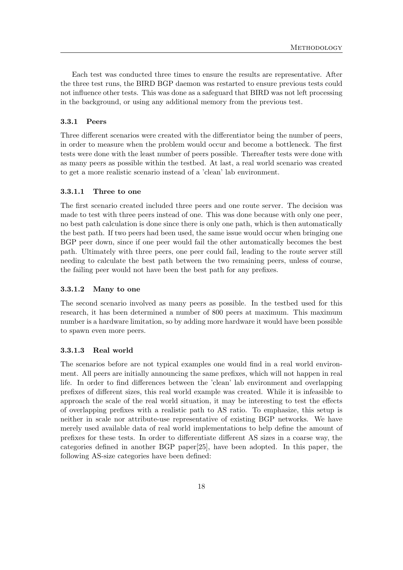Each test was conducted three times to ensure the results are representative. After the three test runs, the BIRD BGP daemon was restarted to ensure previous tests could not influence other tests. This was done as a safeguard that BIRD was not left processing in the background, or using any additional memory from the previous test.

#### <span id="page-18-0"></span>3.3.1 Peers

Three different scenarios were created with the differentiator being the number of peers, in order to measure when the problem would occur and become a bottleneck. The first tests were done with the least number of peers possible. Thereafter tests were done with as many peers as possible within the testbed. At last, a real world scenario was created to get a more realistic scenario instead of a 'clean' lab environment.

#### 3.3.1.1 Three to one

The first scenario created included three peers and one route server. The decision was made to test with three peers instead of one. This was done because with only one peer, no best path calculation is done since there is only one path, which is then automatically the best path. If two peers had been used, the same issue would occur when bringing one BGP peer down, since if one peer would fail the other automatically becomes the best path. Ultimately with three peers, one peer could fail, leading to the route server still needing to calculate the best path between the two remaining peers, unless of course, the failing peer would not have been the best path for any prefixes.

#### 3.3.1.2 Many to one

The second scenario involved as many peers as possible. In the testbed used for this research, it has been determined a number of 800 peers at maximum. This maximum number is a hardware limitation, so by adding more hardware it would have been possible to spawn even more peers.

#### <span id="page-18-1"></span>3.3.1.3 Real world

The scenarios before are not typical examples one would find in a real world environment. All peers are initially announcing the same prefixes, which will not happen in real life. In order to find differences between the 'clean' lab environment and overlapping prefixes of different sizes, this real world example was created. While it is infeasible to approach the scale of the real world situation, it may be interesting to test the effects of overlapping prefixes with a realistic path to AS ratio. To emphasize, this setup is neither in scale nor attribute-use representative of existing BGP networks. We have merely used available data of real world implementations to help define the amount of prefixes for these tests. In order to differentiate different AS sizes in a coarse way, the categories defined in another BGP paper[\[25\]](#page-45-5), have been adopted. In this paper, the following AS-size categories have been defined: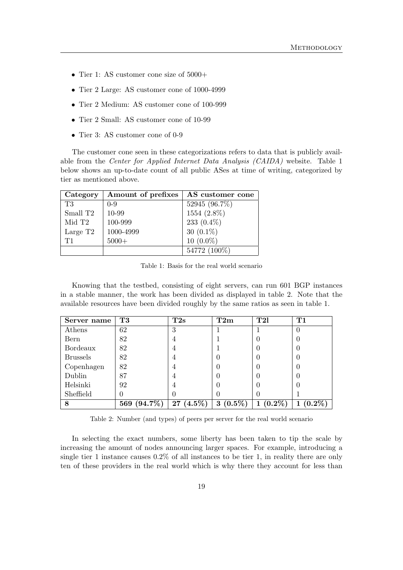- Tier 1: AS customer cone size of  $5000+$
- Tier 2 Large: AS customer cone of 1000-4999
- Tier 2 Medium: AS customer cone of 100-999
- Tier 2 Small: AS customer cone of 10-99
- Tier 3: AS customer cone of 0-9

The customer cone seen in these categorizations refers to data that is publicly available from the Center for Applied Internet Data Analysis (CAIDA) website. Table [1](#page-19-0) below shows an up-to-date count of all public ASes at time of writing, categorized by tier as mentioned above.

<span id="page-19-0"></span>

| Category             | Amount of prefixes | AS customer cone |
|----------------------|--------------------|------------------|
| T3                   | $0 - 9$            | 52945 (96.7%)    |
| Small T <sub>2</sub> | 10-99              | 1554 (2.8%)      |
| Mid T <sub>2</sub>   | 100-999            | 233 $(0.4\%)$    |
| Large T <sub>2</sub> | 1000-4999          | 30 $(0.1\%)$     |
| T1                   | $5000+$            | $10(0.0\%)$      |
|                      |                    | 54772 (100%)     |

Table 1: Basis for the real world scenario

Knowing that the testbed, consisting of eight servers, can run 601 BGP instances in a stable manner, the work has been divided as displayed in table [2.](#page-19-1) Note that the available resources have been divided roughly by the same ratios as seen in table [1.](#page-19-0)

<span id="page-19-1"></span>

| Server name     | T3                | T2s         | T2m            | T2l        | T1      |
|-----------------|-------------------|-------------|----------------|------------|---------|
| Athens          | 62                | 3           |                |            |         |
| Bern            | 82                | 4           |                |            |         |
| Bordeaux        | 82                | 4           |                |            |         |
| <b>Brussels</b> | 82                | 4           |                |            |         |
| Copenhagen      | 82                | 4           |                |            |         |
| Dublin          | 87                | 4           |                |            |         |
| Helsinki        | 92                | 4           |                |            |         |
| Sheffield       | 0                 |             |                |            |         |
| 8               | $(94.7\%)$<br>569 | $27(4.5\%)$ | $(0.5\%)$<br>3 | $(0.2\%),$ | $0.2\%$ |

Table 2: Number (and types) of peers per server for the real world scenario

In selecting the exact numbers, some liberty has been taken to tip the scale by increasing the amount of nodes announcing larger spaces. For example, introducing a single tier 1 instance causes 0.2% of all instances to be tier 1, in reality there are only ten of these providers in the real world which is why there they account for less than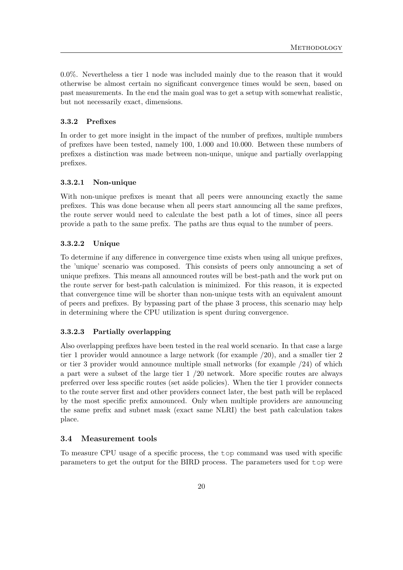0.0%. Nevertheless a tier 1 node was included mainly due to the reason that it would otherwise be almost certain no significant convergence times would be seen, based on past measurements. In the end the main goal was to get a setup with somewhat realistic, but not necessarily exact, dimensions.

#### <span id="page-20-0"></span>3.3.2 Prefixes

In order to get more insight in the impact of the number of prefixes, multiple numbers of prefixes have been tested, namely 100, 1.000 and 10.000. Between these numbers of prefixes a distinction was made between non-unique, unique and partially overlapping prefixes.

#### 3.3.2.1 Non-unique

With non-unique prefixes is meant that all peers were announcing exactly the same prefixes. This was done because when all peers start announcing all the same prefixes, the route server would need to calculate the best path a lot of times, since all peers provide a path to the same prefix. The paths are thus equal to the number of peers.

#### 3.3.2.2 Unique

To determine if any difference in convergence time exists when using all unique prefixes, the 'unique' scenario was composed. This consists of peers only announcing a set of unique prefixes. This means all announced routes will be best-path and the work put on the route server for best-path calculation is minimized. For this reason, it is expected that convergence time will be shorter than non-unique tests with an equivalent amount of peers and prefixes. By bypassing part of the phase 3 process, this scenario may help in determining where the CPU utilization is spent during convergence.

#### 3.3.2.3 Partially overlapping

Also overlapping prefixes have been tested in the real world scenario. In that case a large tier 1 provider would announce a large network (for example /20), and a smaller tier 2 or tier 3 provider would announce multiple small networks (for example /24) of which a part were a subset of the large tier 1 /20 network. More specific routes are always preferred over less specific routes (set aside policies). When the tier 1 provider connects to the route server first and other providers connect later, the best path will be replaced by the most specific prefix announced. Only when multiple providers are announcing the same prefix and subnet mask (exact same NLRI) the best path calculation takes place.

#### <span id="page-20-1"></span>3.4 Measurement tools

To measure CPU usage of a specific process, the top command was used with specific parameters to get the output for the BIRD process. The parameters used for top were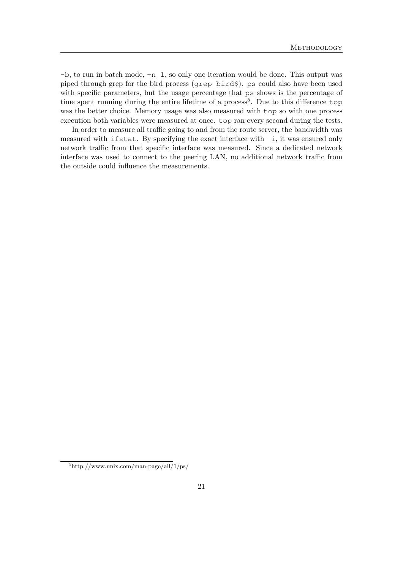-b, to run in batch mode, -n 1, so only one iteration would be done. This output was piped through grep for the bird process (grep bird\$). ps could also have been used with specific parameters, but the usage percentage that ps shows is the percentage of time spent running during the entire lifetime of a process<sup>[5](#page-21-0)</sup>. Due to this difference top was the better choice. Memory usage was also measured with top so with one process execution both variables were measured at once. top ran every second during the tests.

In order to measure all traffic going to and from the route server, the bandwidth was measured with if stat. By specifying the exact interface with  $-i$ , it was ensured only network traffic from that specific interface was measured. Since a dedicated network interface was used to connect to the peering LAN, no additional network traffic from the outside could influence the measurements.

<span id="page-21-0"></span> $5$ http://www.unix.com/man-page/all/1/ps/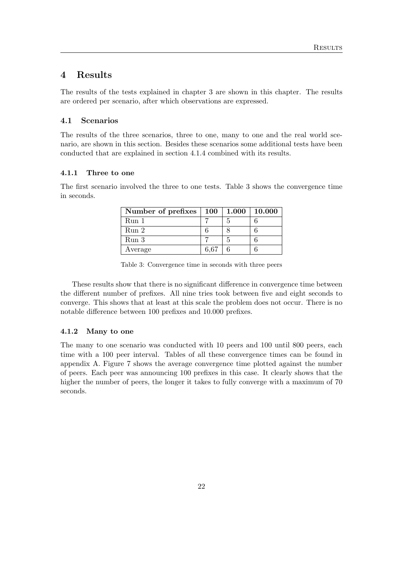## <span id="page-22-0"></span>4 Results

The results of the tests explained in chapter [3](#page-14-0) are shown in this chapter. The results are ordered per scenario, after which observations are expressed.

#### <span id="page-22-1"></span>4.1 Scenarios

The results of the three scenarios, three to one, many to one and the real world scenario, are shown in this section. Besides these scenarios some additional tests have been conducted that are explained in section [4.1.4](#page-25-0) combined with its results.

#### <span id="page-22-2"></span>4.1.1 Three to one

<span id="page-22-4"></span>The first scenario involved the three to one tests. Table [3](#page-22-4) shows the convergence time in seconds.

| Number of prefixes   100 |      | 1.000 | 10.000 |
|--------------------------|------|-------|--------|
| Run <sub>1</sub>         |      |       |        |
| Run <sub>2</sub>         |      |       |        |
| Run 3                    |      |       |        |
| Average                  | 6.67 |       |        |

| Table 3: Convergence time in seconds with three peers |  |  |  |
|-------------------------------------------------------|--|--|--|
|                                                       |  |  |  |

These results show that there is no significant difference in convergence time between the different number of prefixes. All nine tries took between five and eight seconds to converge. This shows that at least at this scale the problem does not occur. There is no notable difference between 100 prefixes and 10.000 prefixes.

#### <span id="page-22-3"></span>4.1.2 Many to one

The many to one scenario was conducted with 10 peers and 100 until 800 peers, each time with a 100 peer interval. Tables of all these convergence times can be found in appendix [A.](#page-46-0) Figure [7](#page-23-0) shows the average convergence time plotted against the number of peers. Each peer was announcing 100 prefixes in this case. It clearly shows that the higher the number of peers, the longer it takes to fully converge with a maximum of 70 seconds.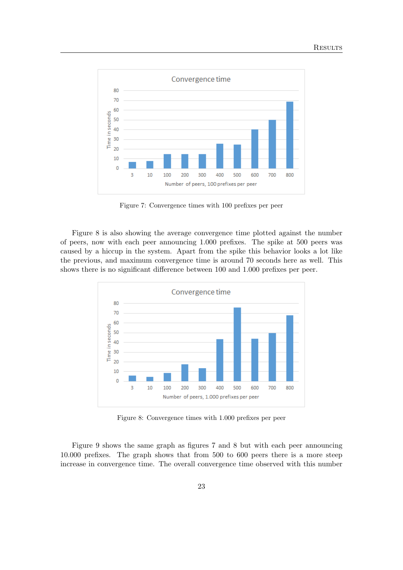<span id="page-23-0"></span>

Figure 7: Convergence times with 100 prefixes per peer

Figure [8](#page-23-1) is also showing the average convergence time plotted against the number of peers, now with each peer announcing 1.000 prefixes. The spike at 500 peers was caused by a hiccup in the system. Apart from the spike this behavior looks a lot like the previous, and maximum convergence time is around 70 seconds here as well. This shows there is no significant difference between 100 and 1.000 prefixes per peer.

<span id="page-23-1"></span>

Figure 8: Convergence times with 1.000 prefixes per peer

Figure [9](#page-24-1) shows the same graph as figures [7](#page-23-0) and [8](#page-23-1) but with each peer announcing 10.000 prefixes. The graph shows that from 500 to 600 peers there is a more steep increase in convergence time. The overall convergence time observed with this number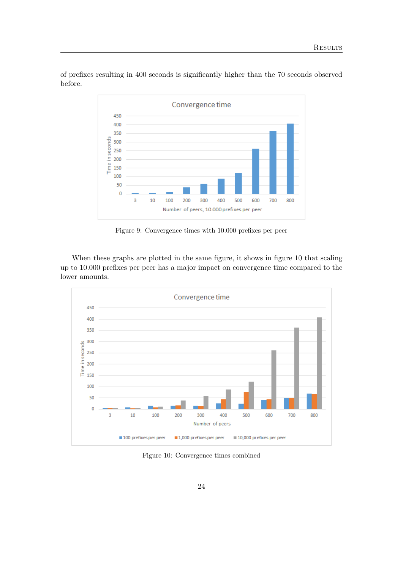

<span id="page-24-1"></span>of prefixes resulting in 400 seconds is significantly higher than the 70 seconds observed before.

Figure 9: Convergence times with 10.000 prefixes per peer

When these graphs are plotted in the same figure, it shows in figure [10](#page-24-2) that scaling up to 10.000 prefixes per peer has a major impact on convergence time compared to the lower amounts.

<span id="page-24-2"></span>

<span id="page-24-0"></span>Figure 10: Convergence times combined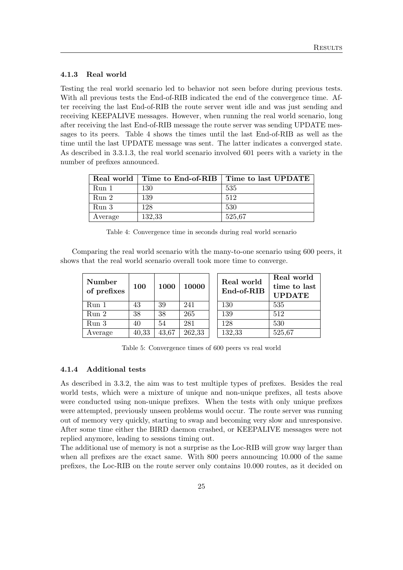#### 4.1.3 Real world

Testing the real world scenario led to behavior not seen before during previous tests. With all previous tests the End-of-RIB indicated the end of the convergence time. After receiving the last End-of-RIB the route server went idle and was just sending and receiving KEEPALIVE messages. However, when running the real world scenario, long after receiving the last End-of-RIB message the route server was sending UPDATE messages to its peers. Table [4](#page-25-1) shows the times until the last End-of-RIB as well as the time until the last UPDATE message was sent. The latter indicates a converged state. As described in [3.3.1.3,](#page-18-1) the real world scenario involved 601 peers with a variety in the number of prefixes announced.

<span id="page-25-1"></span>

|                  |        | Real world   Time to End-of-RIB   Time to last UPDATE |
|------------------|--------|-------------------------------------------------------|
| Run 1            | 130    | 535                                                   |
| Run 2            | 139    | 512                                                   |
| Run <sub>3</sub> | 128    | 530                                                   |
| Average          | 132,33 | 525,67                                                |

Table 4: Convergence time in seconds during real world scenario

Comparing the real world scenario with the many-to-one scenario using 600 peers, it shows that the real world scenario overall took more time to converge.

| Number<br>of prefixes | 100   | 1000  | 10000  | Real world<br>End-of-RIB | Real world<br>time to last<br><b>UPDATE</b> |
|-----------------------|-------|-------|--------|--------------------------|---------------------------------------------|
| Run 1                 | 43    | 39    | 241    | 130                      | 535                                         |
| Run 2                 | 38    | 38    | 265    | 139                      | 512                                         |
| Run 3                 | 40    | 54    | 281    | 128                      | 530                                         |
| Average               | 40,33 | 43,67 | 262,33 | 132,33                   | 525,67                                      |

Table 5: Convergence times of 600 peers vs real world

#### <span id="page-25-0"></span>4.1.4 Additional tests

As described in [3.3.2,](#page-20-0) the aim was to test multiple types of prefixes. Besides the real world tests, which were a mixture of unique and non-unique prefixes, all tests above were conducted using non-unique prefixes. When the tests with only unique prefixes were attempted, previously unseen problems would occur. The route server was running out of memory very quickly, starting to swap and becoming very slow and unresponsive. After some time either the BIRD daemon crashed, or KEEPALIVE messages were not replied anymore, leading to sessions timing out.

The additional use of memory is not a surprise as the Loc-RIB will grow way larger than when all prefixes are the exact same. With 800 peers announcing 10.000 of the same prefixes, the Loc-RIB on the route server only contains 10.000 routes, as it decided on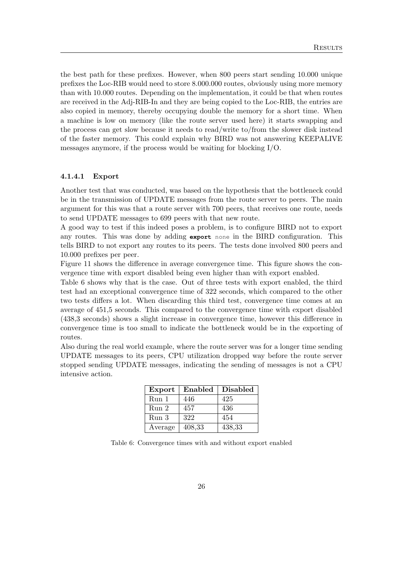the best path for these prefixes. However, when 800 peers start sending 10.000 unique prefixes the Loc-RIB would need to store 8.000.000 routes, obviously using more memory than with 10.000 routes. Depending on the implementation, it could be that when routes are received in the Adj-RIB-In and they are being copied to the Loc-RIB, the entries are also copied in memory, thereby occupying double the memory for a short time. When a machine is low on memory (like the route server used here) it starts swapping and the process can get slow because it needs to read/write to/from the slower disk instead of the faster memory. This could explain why BIRD was not answering KEEPALIVE messages anymore, if the process would be waiting for blocking I/O.

#### 4.1.4.1 Export

Another test that was conducted, was based on the hypothesis that the bottleneck could be in the transmission of UPDATE messages from the route server to peers. The main argument for this was that a route server with 700 peers, that receives one route, needs to send UPDATE messages to 699 peers with that new route.

A good way to test if this indeed poses a problem, is to configure BIRD not to export any routes. This was done by adding **export** none in the BIRD configuration. This tells BIRD to not export any routes to its peers. The tests done involved 800 peers and 10.000 prefixes per peer.

Figure [11](#page-27-0) shows the difference in average convergence time. This figure shows the convergence time with export disabled being even higher than with export enabled.

Table [6](#page-26-0) shows why that is the case. Out of three tests with export enabled, the third test had an exceptional convergence time of 322 seconds, which compared to the other two tests differs a lot. When discarding this third test, convergence time comes at an average of 451,5 seconds. This compared to the convergence time with export disabled (438,3 seconds) shows a slight increase in convergence time, however this difference in convergence time is too small to indicate the bottleneck would be in the exporting of routes.

<span id="page-26-0"></span>Also during the real world example, where the route server was for a longer time sending UPDATE messages to its peers, CPU utilization dropped way before the route server stopped sending UPDATE messages, indicating the sending of messages is not a CPU intensive action.

| Export  | Enabled | <b>Disabled</b> |
|---------|---------|-----------------|
| Run 1   | 446     | 425             |
| Run 2   | 457     | 436             |
| Run 3   | 322     | 454             |
| Average | 408,33  | 438,33          |

Table 6: Convergence times with and without export enabled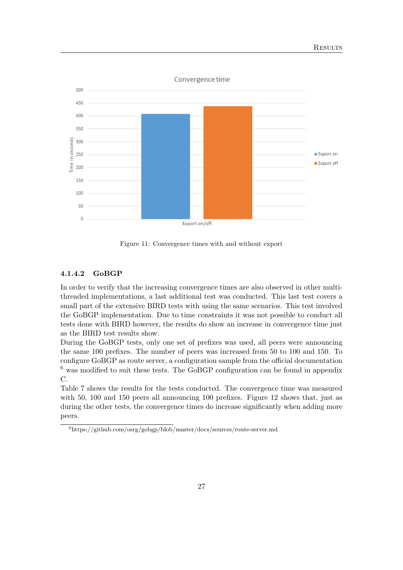<span id="page-27-0"></span>

Figure 11: Convergence times with and without export

#### 4.1.4.2 GoBGP

In order to verify that the increasing convergence times are also observed in other multithreaded implementations, a last additional test was conducted. This last test covers a small part of the extensive BIRD tests with using the same scenarios. This test involved the GoBGP implementation. Due to time constraints it was not possible to conduct all tests done with BIRD however, the results do show an increase in convergence time just as the BIRD test results show.

During the GoBGP tests, only one set of prefixes was used, all peers were announcing the same 100 prefixes. The number of peers was increased from 50 to 100 and 150. To configure GoBGP as route server, a configuration sample from the official documentation  $6$  was modified to suit these tests. The GoBGP configuration can be found in appendix [C.](#page-50-0)

Table [7](#page-28-1) shows the results for the tests conducted. The convergence time was measured with 50, 100 and 150 peers all announcing 100 prefixes. Figure [12](#page-28-2) shows that, just as during the other tests, the convergence times do increase significantly when adding more peers.

<span id="page-27-1"></span> $6$ https://github.com/osrg/gobgp/blob/master/docs/sources/route-server.md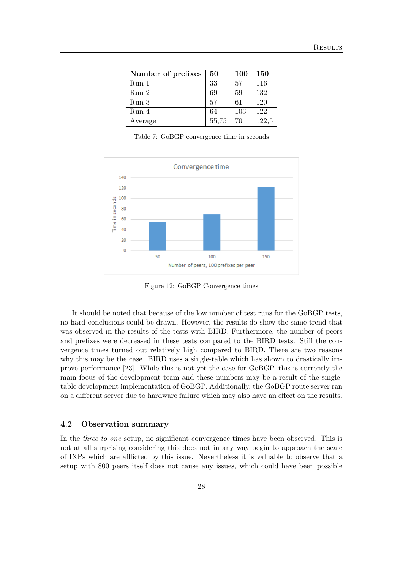<span id="page-28-1"></span>

| Number of prefixes | 50    | <b>100</b> | <b>150</b> |
|--------------------|-------|------------|------------|
| Run 1              | 33    | 57         | 116        |
| Run 2              | 69    | 59         | 132        |
| Run <sub>3</sub>   | 57    | 61         | 120        |
| Run 4              | 64    | 103        | 122        |
| Average            | 55,75 | 70         | 122,5      |

Table 7: GoBGP convergence time in seconds

<span id="page-28-2"></span>

Figure 12: GoBGP Convergence times

It should be noted that because of the low number of test runs for the GoBGP tests, no hard conclusions could be drawn. However, the results do show the same trend that was observed in the results of the tests with BIRD. Furthermore, the number of peers and prefixes were decreased in these tests compared to the BIRD tests. Still the convergence times turned out relatively high compared to BIRD. There are two reasons why this may be the case. BIRD uses a single-table which has shown to drastically improve performance [\[23\]](#page-45-3). While this is not yet the case for GoBGP, this is currently the main focus of the development team and these numbers may be a result of the singletable development implementation of GoBGP. Additionally, the GoBGP route server ran on a different server due to hardware failure which may also have an effect on the results.

#### <span id="page-28-0"></span>4.2 Observation summary

In the *three to one* setup, no significant convergence times have been observed. This is not at all surprising considering this does not in any way begin to approach the scale of IXPs which are afflicted by this issue. Nevertheless it is valuable to observe that a setup with 800 peers itself does not cause any issues, which could have been possible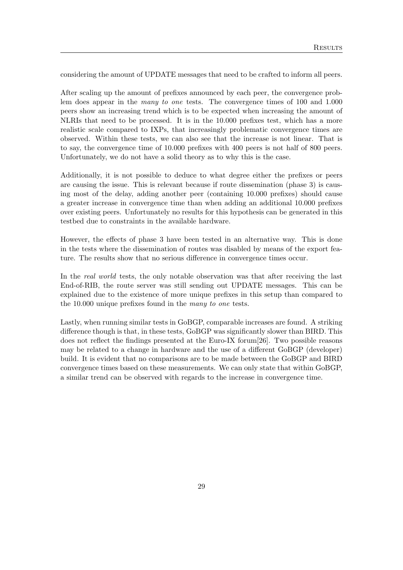considering the amount of UPDATE messages that need to be crafted to inform all peers.

After scaling up the amount of prefixes announced by each peer, the convergence problem does appear in the many to one tests. The convergence times of 100 and 1.000 peers show an increasing trend which is to be expected when increasing the amount of NLRIs that need to be processed. It is in the 10.000 prefixes test, which has a more realistic scale compared to IXPs, that increasingly problematic convergence times are observed. Within these tests, we can also see that the increase is not linear. That is to say, the convergence time of 10.000 prefixes with 400 peers is not half of 800 peers. Unfortunately, we do not have a solid theory as to why this is the case.

Additionally, it is not possible to deduce to what degree either the prefixes or peers are causing the issue. This is relevant because if route dissemination (phase 3) is causing most of the delay, adding another peer (containing 10.000 prefixes) should cause a greater increase in convergence time than when adding an additional 10.000 prefixes over existing peers. Unfortunately no results for this hypothesis can be generated in this testbed due to constraints in the available hardware.

However, the effects of phase 3 have been tested in an alternative way. This is done in the tests where the dissemination of routes was disabled by means of the export feature. The results show that no serious difference in convergence times occur.

In the *real world* tests, the only notable observation was that after receiving the last End-of-RIB, the route server was still sending out UPDATE messages. This can be explained due to the existence of more unique prefixes in this setup than compared to the 10.000 unique prefixes found in the many to one tests.

Lastly, when running similar tests in GoBGP, comparable increases are found. A striking difference though is that, in these tests, GoBGP was significantly slower than BIRD. This does not reflect the findings presented at the Euro-IX forum[\[26\]](#page-45-6). Two possible reasons may be related to a change in hardware and the use of a different GoBGP (developer) build. It is evident that no comparisons are to be made between the GoBGP and BIRD convergence times based on these measurements. We can only state that within GoBGP, a similar trend can be observed with regards to the increase in convergence time.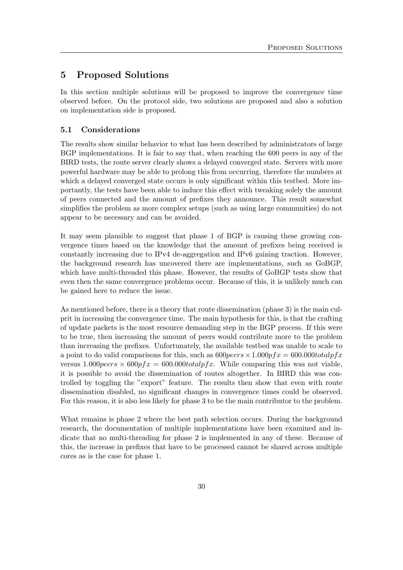## <span id="page-30-0"></span>5 Proposed Solutions

In this section multiple solutions will be proposed to improve the convergence time observed before. On the protocol side, two solutions are proposed and also a solution on implementation side is proposed.

## <span id="page-30-1"></span>5.1 Considerations

The results show similar behavior to what has been described by administrators of large BGP implementations. It is fair to say that, when reaching the 600 peers in any of the BIRD tests, the route server clearly shows a delayed converged state. Servers with more powerful hardware may be able to prolong this from occurring, therefore the numbers at which a delayed converged state occurs is only significant within this testbed. More importantly, the tests have been able to induce this effect with tweaking solely the amount of peers connected and the amount of prefixes they announce. This result somewhat simplifies the problem as more complex setups (such as using large communities) do not appear to be necessary and can be avoided.

It may seem plausible to suggest that phase 1 of BGP is causing these growing convergence times based on the knowledge that the amount of prefixes being received is constantly increasing due to IPv4 de-aggregation and IPv6 gaining traction. However, the background research has uncovered there are implementations, such as GoBGP, which have multi-threaded this phase. However, the results of GoBGP tests show that even then the same convergence problems occur. Because of this, it is unlikely much can be gained here to reduce the issue.

As mentioned before, there is a theory that route dissemination (phase 3) is the main culprit in increasing the convergence time. The main hypothesis for this, is that the crafting of update packets is the most resource demanding step in the BGP process. If this were to be true, then increasing the amount of peers would contribute more to the problem than increasing the prefixes. Unfortunately, the available testbed was unable to scale to a point to do valid comparisons for this, such as  $600 \text{years} \times 1.000 \text{pfx} = 600.000 \text{total} \text{pfx}$ versus  $1.000 \text{pers} \times 600 \text{p} \text{f}x = 600.000 \text{total} \text{p} \text{f}x$ . While comparing this was not viable, it is possible to avoid the dissemination of routes altogether. In BIRD this was controlled by toggling the "export" feature. The results then show that even with route dissemination disabled, no significant changes in convergence times could be observed. For this reason, it is also less likely for phase 3 to be the main contributor to the problem.

What remains is phase 2 where the best path selection occurs. During the background research, the documentation of multiple implementations have been examined and indicate that no multi-threading for phase 2 is implemented in any of these. Because of this, the increase in prefixes that have to be processed cannot be shared across multiple cores as is the case for phase 1.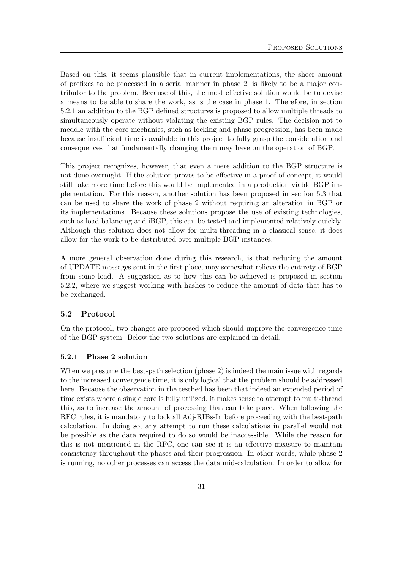Based on this, it seems plausible that in current implementations, the sheer amount of prefixes to be processed in a serial manner in phase 2, is likely to be a major contributor to the problem. Because of this, the most effective solution would be to devise a means to be able to share the work, as is the case in phase 1. Therefore, in section [5.2.1](#page-31-1) an addition to the BGP defined structures is proposed to allow multiple threads to simultaneously operate without violating the existing BGP rules. The decision not to meddle with the core mechanics, such as locking and phase progression, has been made because insufficient time is available in this project to fully grasp the consideration and consequences that fundamentally changing them may have on the operation of BGP.

This project recognizes, however, that even a mere addition to the BGP structure is not done overnight. If the solution proves to be effective in a proof of concept, it would still take more time before this would be implemented in a production viable BGP implementation. For this reason, another solution has been proposed in section [5.3](#page-35-0) that can be used to share the work of phase 2 without requiring an alteration in BGP or its implementations. Because these solutions propose the use of existing technologies, such as load balancing and iBGP, this can be tested and implemented relatively quickly. Although this solution does not allow for multi-threading in a classical sense, it does allow for the work to be distributed over multiple BGP instances.

A more general observation done during this research, is that reducing the amount of UPDATE messages sent in the first place, may somewhat relieve the entirety of BGP from some load. A suggestion as to how this can be achieved is proposed in section [5.2.2,](#page-33-0) where we suggest working with hashes to reduce the amount of data that has to be exchanged.

## <span id="page-31-0"></span>5.2 Protocol

On the protocol, two changes are proposed which should improve the convergence time of the BGP system. Below the two solutions are explained in detail.

#### <span id="page-31-1"></span>5.2.1 Phase 2 solution

When we presume the best-path selection (phase 2) is indeed the main issue with regards to the increased convergence time, it is only logical that the problem should be addressed here. Because the observation in the testbed has been that indeed an extended period of time exists where a single core is fully utilized, it makes sense to attempt to multi-thread this, as to increase the amount of processing that can take place. When following the RFC rules, it is mandatory to lock all Adj-RIBs-In before proceeding with the best-path calculation. In doing so, any attempt to run these calculations in parallel would not be possible as the data required to do so would be inaccessible. While the reason for this is not mentioned in the RFC, one can see it is an effective measure to maintain consistency throughout the phases and their progression. In other words, while phase 2 is running, no other processes can access the data mid-calculation. In order to allow for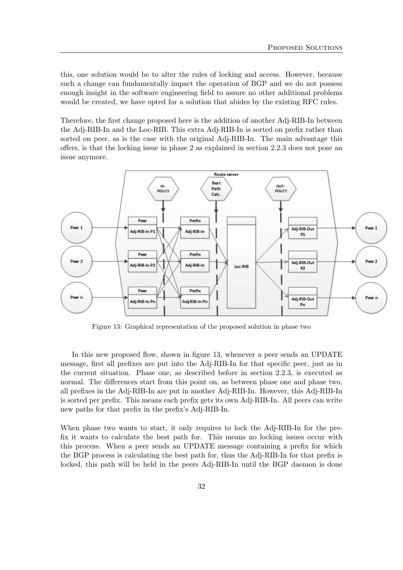this, one solution would be to alter the rules of locking and access. However, because such a change can fundamentally impact the operation of BGP and we do not possess enough insight in the software engineering field to assure no other additional problems would be created, we have opted for a solution that abides by the existing RFC rules.

Therefore, the first change proposed here is the addition of another Adj-RIB-In between the Adj-RIB-In and the Loc-RIB. This extra Adj-RIB-In is sorted on prefix rather than sorted on peer, as is the case with the original Adj-RIB-In. The main advantage this offers, is that the locking issue in phase 2 as explained in section [2.2.3](#page-6-0) does not pose an issue anymore.

<span id="page-32-0"></span>

Figure 13: Graphical representation of the proposed solution in phase two

In this new proposed flow, shown in figure [13,](#page-32-0) whenever a peer sends an UPDATE message, first all prefixes are put into the Adj-RIB-In for that specific peer, just as in the current situation. Phase one, as described before in section [2.2.3,](#page-6-0) is executed as normal. The differences start from this point on, as between phase one and phase two, all prefixes in the Adj-RIB-In are put in another Adj-RIB-In. However, this Adj-RIB-In is sorted per prefix. This means each prefix gets its own Adj-RIB-In. All peers can write new paths for that prefix in the prefix's Adj-RIB-In.

When phase two wants to start, it only requires to lock the Adj-RIB-In for the prefix it wants to calculate the best path for. This means no locking issues occur with this process. When a peer sends an UPDATE message containing a prefix for which the BGP process is calculating the best path for, thus the Adj-RIB-In for that prefix is locked, this path will be held in the peers Adj-RIB-In until the BGP daemon is done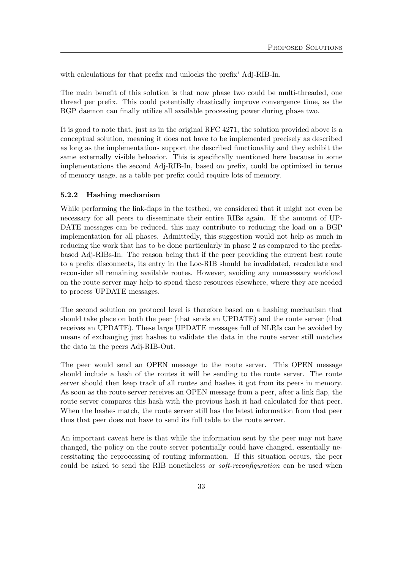with calculations for that prefix and unlocks the prefix' Adj-RIB-In.

The main benefit of this solution is that now phase two could be multi-threaded, one thread per prefix. This could potentially drastically improve convergence time, as the BGP daemon can finally utilize all available processing power during phase two.

It is good to note that, just as in the original RFC 4271, the solution provided above is a conceptual solution, meaning it does not have to be implemented precisely as described as long as the implementations support the described functionality and they exhibit the same externally visible behavior. This is specifically mentioned here because in some implementations the second Adj-RIB-In, based on prefix, could be optimized in terms of memory usage, as a table per prefix could require lots of memory.

#### <span id="page-33-0"></span>5.2.2 Hashing mechanism

While performing the link-flaps in the testbed, we considered that it might not even be necessary for all peers to disseminate their entire RIBs again. If the amount of UP-DATE messages can be reduced, this may contribute to reducing the load on a BGP implementation for all phases. Admittedly, this suggestion would not help as much in reducing the work that has to be done particularly in phase 2 as compared to the prefixbased Adj-RIBs-In. The reason being that if the peer providing the current best route to a prefix disconnects, its entry in the Loc-RIB should be invalidated, recalculate and reconsider all remaining available routes. However, avoiding any unnecessary workload on the route server may help to spend these resources elsewhere, where they are needed to process UPDATE messages.

The second solution on protocol level is therefore based on a hashing mechanism that should take place on both the peer (that sends an UPDATE) and the route server (that receives an UPDATE). These large UPDATE messages full of NLRIs can be avoided by means of exchanging just hashes to validate the data in the route server still matches the data in the peers Adj-RIB-Out.

The peer would send an OPEN message to the route server. This OPEN message should include a hash of the routes it will be sending to the route server. The route server should then keep track of all routes and hashes it got from its peers in memory. As soon as the route server receives an OPEN message from a peer, after a link flap, the route server compares this hash with the previous hash it had calculated for that peer. When the hashes match, the route server still has the latest information from that peer thus that peer does not have to send its full table to the route server.

An important caveat here is that while the information sent by the peer may not have changed, the policy on the route server potentially could have changed, essentially necessitating the reprocessing of routing information. If this situation occurs, the peer could be asked to send the RIB nonetheless or *soft-reconfiguration* can be used when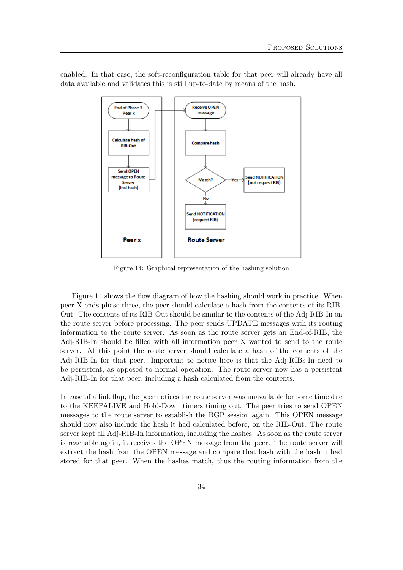

<span id="page-34-0"></span>enabled. In that case, the soft-reconfiguration table for that peer will already have all data available and validates this is still up-to-date by means of the hash.

Figure 14: Graphical representation of the hashing solution

Figure [14](#page-34-0) shows the flow diagram of how the hashing should work in practice. When peer X ends phase three, the peer should calculate a hash from the contents of its RIB-Out. The contents of its RIB-Out should be similar to the contents of the Adj-RIB-In on the route server before processing. The peer sends UPDATE messages with its routing information to the route server. As soon as the route server gets an End-of-RIB, the Adj-RIB-In should be filled with all information peer X wanted to send to the route server. At this point the route server should calculate a hash of the contents of the Adj-RIB-In for that peer. Important to notice here is that the Adj-RIBs-In need to be persistent, as opposed to normal operation. The route server now has a persistent Adj-RIB-In for that peer, including a hash calculated from the contents.

In case of a link flap, the peer notices the route server was unavailable for some time due to the KEEPALIVE and Hold-Down timers timing out. The peer tries to send OPEN messages to the route server to establish the BGP session again. This OPEN message should now also include the hash it had calculated before, on the RIB-Out. The route server kept all Adj-RIB-In information, including the hashes. As soon as the route server is reachable again, it receives the OPEN message from the peer. The route server will extract the hash from the OPEN message and compare that hash with the hash it had stored for that peer. When the hashes match, thus the routing information from the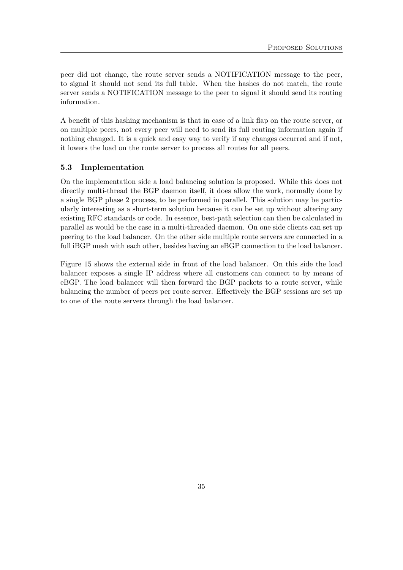peer did not change, the route server sends a NOTIFICATION message to the peer, to signal it should not send its full table. When the hashes do not match, the route server sends a NOTIFICATION message to the peer to signal it should send its routing information.

A benefit of this hashing mechanism is that in case of a link flap on the route server, or on multiple peers, not every peer will need to send its full routing information again if nothing changed. It is a quick and easy way to verify if any changes occurred and if not, it lowers the load on the route server to process all routes for all peers.

#### <span id="page-35-0"></span>5.3 Implementation

On the implementation side a load balancing solution is proposed. While this does not directly multi-thread the BGP daemon itself, it does allow the work, normally done by a single BGP phase 2 process, to be performed in parallel. This solution may be particularly interesting as a short-term solution because it can be set up without altering any existing RFC standards or code. In essence, best-path selection can then be calculated in parallel as would be the case in a multi-threaded daemon. On one side clients can set up peering to the load balancer. On the other side multiple route servers are connected in a full iBGP mesh with each other, besides having an eBGP connection to the load balancer.

Figure [15](#page-36-0) shows the external side in front of the load balancer. On this side the load balancer exposes a single IP address where all customers can connect to by means of eBGP. The load balancer will then forward the BGP packets to a route server, while balancing the number of peers per route server. Effectively the BGP sessions are set up to one of the route servers through the load balancer.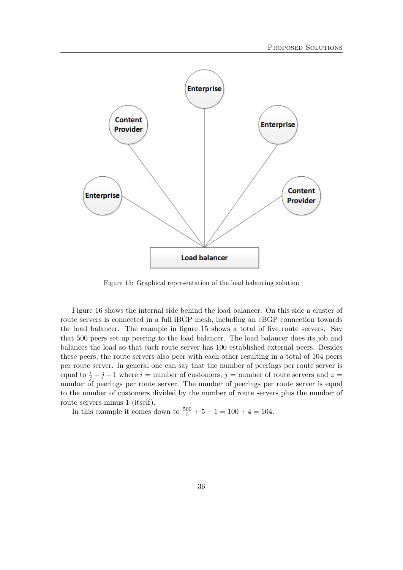<span id="page-36-0"></span>

Figure 15: Graphical representation of the load balancing solution

Figure [16](#page-37-0) shows the internal side behind the load balancer. On this side a cluster of route servers is connected in a full iBGP mesh, including an eBGP connection towards the load balancer. The example in figure [15](#page-36-0) shows a total of five route servers. Say that 500 peers set up peering to the load balancer. The load balancer does its job and balances the load so that each route server has 100 established external peers. Besides these peers, the route servers also peer with each other resulting in a total of 104 peers per route server. In general one can say that the number of peerings per route server is equal to  $\frac{i}{j} + j - 1$  where  $i =$  number of customers,  $j =$  number of route servers and  $z =$ number of peerings per route server. The number of peerings per route server is equal to the number of customers divided by the number of route servers plus the number of route servers minus 1 (itself).

In this example it comes down to  $\frac{500}{5} + 5 - 1 = 100 + 4 = 104$ .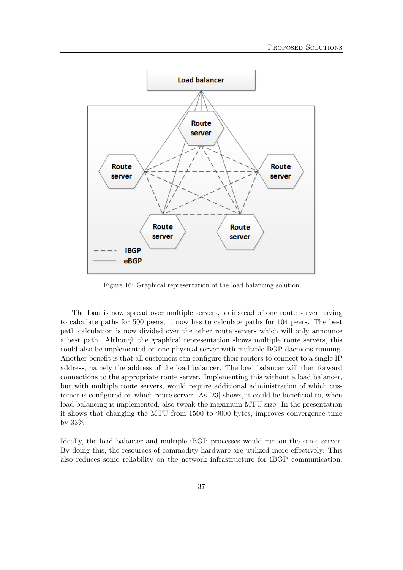<span id="page-37-0"></span>

Figure 16: Graphical representation of the load balancing solution

The load is now spread over multiple servers, so instead of one route server having to calculate paths for 500 peers, it now has to calculate paths for 104 peers. The best path calculation is now divided over the other route servers which will only announce a best path. Although the graphical representation shows multiple route servers, this could also be implemented on one physical server with multiple BGP daemons running. Another benefit is that all customers can configure their routers to connect to a single IP address, namely the address of the load balancer. The load balancer will then forward connections to the appropriate route server. Implementing this without a load balancer, but with multiple route servers, would require additional administration of which customer is configured on which route server. As [\[23\]](#page-45-3) shows, it could be beneficial to, when load balancing is implemented, also tweak the maximum MTU size. In the presentation it shows that changing the MTU from 1500 to 9000 bytes, improves convergence time by 33%.

Ideally, the load balancer and multiple iBGP processes would run on the same server. By doing this, the resources of commodity hardware are utilized more effectively. This also reduces some reliability on the network infrastructure for iBGP communication.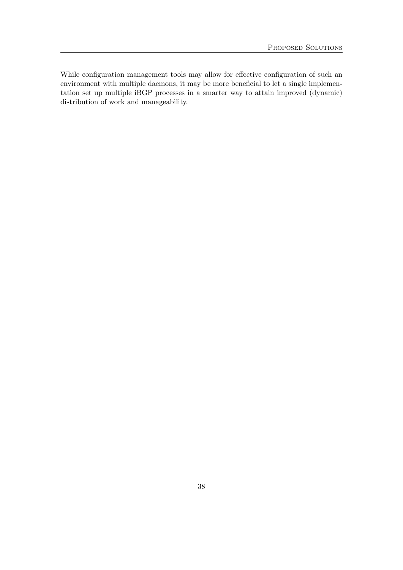While configuration management tools may allow for effective configuration of such an environment with multiple daemons, it may be more beneficial to let a single implementation set up multiple iBGP processes in a smarter way to attain improved (dynamic) distribution of work and manageability.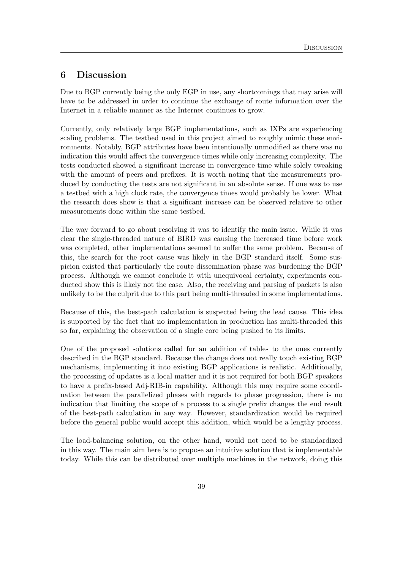## <span id="page-39-0"></span>6 Discussion

Due to BGP currently being the only EGP in use, any shortcomings that may arise will have to be addressed in order to continue the exchange of route information over the Internet in a reliable manner as the Internet continues to grow.

Currently, only relatively large BGP implementations, such as IXPs are experiencing scaling problems. The testbed used in this project aimed to roughly mimic these environments. Notably, BGP attributes have been intentionally unmodified as there was no indication this would affect the convergence times while only increasing complexity. The tests conducted showed a significant increase in convergence time while solely tweaking with the amount of peers and prefixes. It is worth noting that the measurements produced by conducting the tests are not significant in an absolute sense. If one was to use a testbed with a high clock rate, the convergence times would probably be lower. What the research does show is that a significant increase can be observed relative to other measurements done within the same testbed.

The way forward to go about resolving it was to identify the main issue. While it was clear the single-threaded nature of BIRD was causing the increased time before work was completed, other implementations seemed to suffer the same problem. Because of this, the search for the root cause was likely in the BGP standard itself. Some suspicion existed that particularly the route dissemination phase was burdening the BGP process. Although we cannot conclude it with unequivocal certainty, experiments conducted show this is likely not the case. Also, the receiving and parsing of packets is also unlikely to be the culprit due to this part being multi-threaded in some implementations.

Because of this, the best-path calculation is suspected being the lead cause. This idea is supported by the fact that no implementation in production has multi-threaded this so far, explaining the observation of a single core being pushed to its limits.

One of the proposed solutions called for an addition of tables to the ones currently described in the BGP standard. Because the change does not really touch existing BGP mechanisms, implementing it into existing BGP applications is realistic. Additionally, the processing of updates is a local matter and it is not required for both BGP speakers to have a prefix-based Adj-RIB-in capability. Although this may require some coordination between the parallelized phases with regards to phase progression, there is no indication that limiting the scope of a process to a single prefix changes the end result of the best-path calculation in any way. However, standardization would be required before the general public would accept this addition, which would be a lengthy process.

The load-balancing solution, on the other hand, would not need to be standardized in this way. The main aim here is to propose an intuitive solution that is implementable today. While this can be distributed over multiple machines in the network, doing this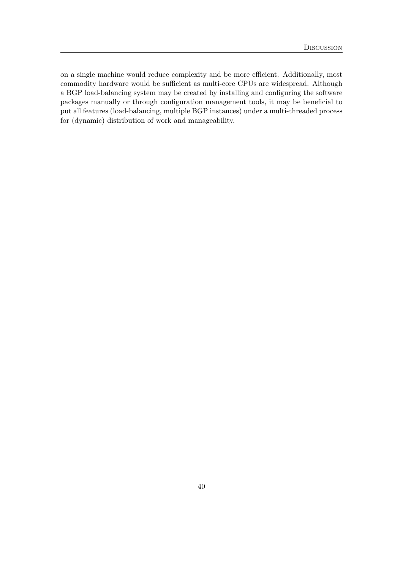on a single machine would reduce complexity and be more efficient. Additionally, most commodity hardware would be sufficient as multi-core CPUs are widespread. Although a BGP load-balancing system may be created by installing and configuring the software packages manually or through configuration management tools, it may be beneficial to put all features (load-balancing, multiple BGP instances) under a multi-threaded process for (dynamic) distribution of work and manageability.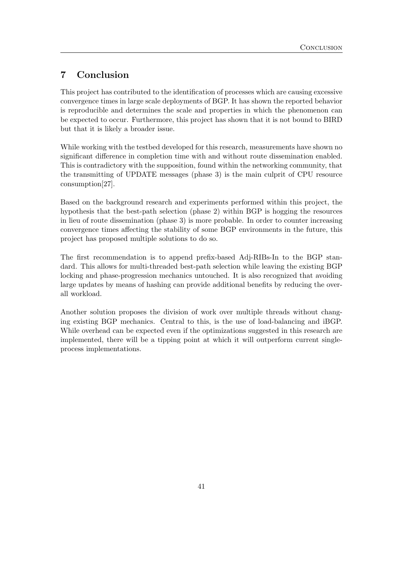## <span id="page-41-0"></span>7 Conclusion

This project has contributed to the identification of processes which are causing excessive convergence times in large scale deployments of BGP. It has shown the reported behavior is reproducible and determines the scale and properties in which the phenomenon can be expected to occur. Furthermore, this project has shown that it is not bound to BIRD but that it is likely a broader issue.

While working with the testbed developed for this research, measurements have shown no significant difference in completion time with and without route dissemination enabled. This is contradictory with the supposition, found within the networking community, that the transmitting of UPDATE messages (phase 3) is the main culprit of CPU resource consumption[\[27\]](#page-45-7).

Based on the background research and experiments performed within this project, the hypothesis that the best-path selection (phase 2) within BGP is hogging the resources in lieu of route dissemination (phase 3) is more probable. In order to counter increasing convergence times affecting the stability of some BGP environments in the future, this project has proposed multiple solutions to do so.

The first recommendation is to append prefix-based Adj-RIBs-In to the BGP standard. This allows for multi-threaded best-path selection while leaving the existing BGP locking and phase-progression mechanics untouched. It is also recognized that avoiding large updates by means of hashing can provide additional benefits by reducing the overall workload.

Another solution proposes the division of work over multiple threads without changing existing BGP mechanics. Central to this, is the use of load-balancing and iBGP. While overhead can be expected even if the optimizations suggested in this research are implemented, there will be a tipping point at which it will outperform current singleprocess implementations.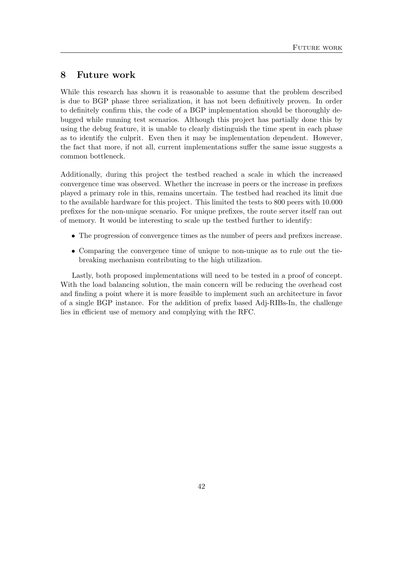## <span id="page-42-0"></span>8 Future work

While this research has shown it is reasonable to assume that the problem described is due to BGP phase three serialization, it has not been definitively proven. In order to definitely confirm this, the code of a BGP implementation should be thoroughly debugged while running test scenarios. Although this project has partially done this by using the debug feature, it is unable to clearly distinguish the time spent in each phase as to identify the culprit. Even then it may be implementation dependent. However, the fact that more, if not all, current implementations suffer the same issue suggests a common bottleneck.

Additionally, during this project the testbed reached a scale in which the increased convergence time was observed. Whether the increase in peers or the increase in prefixes played a primary role in this, remains uncertain. The testbed had reached its limit due to the available hardware for this project. This limited the tests to 800 peers with 10.000 prefixes for the non-unique scenario. For unique prefixes, the route server itself ran out of memory. It would be interesting to scale up the testbed further to identify:

- The progression of convergence times as the number of peers and prefixes increase.
- Comparing the convergence time of unique to non-unique as to rule out the tiebreaking mechanism contributing to the high utilization.

Lastly, both proposed implementations will need to be tested in a proof of concept. With the load balancing solution, the main concern will be reducing the overhead cost and finding a point where it is more feasible to implement such an architecture in favor of a single BGP instance. For the addition of prefix based Adj-RIBs-In, the challenge lies in efficient use of memory and complying with the RFC.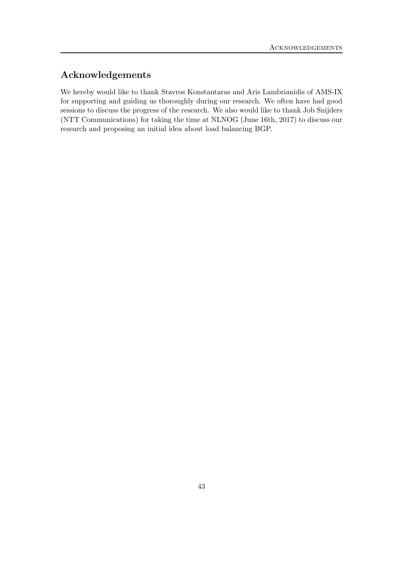## Acknowledgements

We hereby would like to thank Stavros Konstantaras and Aris Lambrianidis of AMS-IX for supporting and guiding us thoroughly during our research. We often have had good sessions to discuss the progress of the research. We also would like to thank Job Snijders (NTT Communications) for taking the time at NLNOG (June 16th, 2017) to discuss our research and proposing an initial idea about load balancing BGP.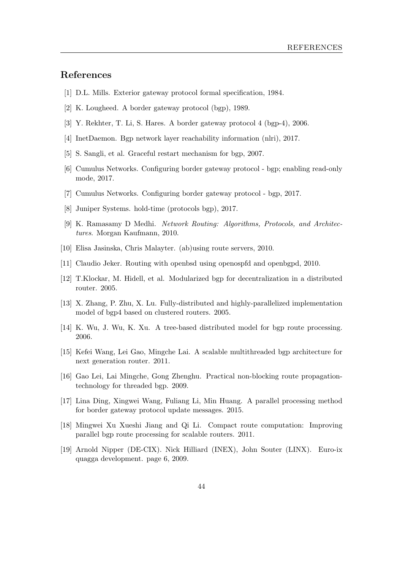## References

- <span id="page-44-0"></span>[1] D.L. Mills. Exterior gateway protocol formal specification, 1984.
- <span id="page-44-1"></span>[2] K. Lougheed. A border gateway protocol (bgp), 1989.
- <span id="page-44-2"></span>[3] Y. Rekhter, T. Li, S. Hares. A border gateway protocol 4 (bgp-4), 2006.
- <span id="page-44-3"></span>[4] InetDaemon. Bgp network layer reachability information (nlri), 2017.
- <span id="page-44-4"></span>[5] S. Sangli, et al. Graceful restart mechanism for bgp, 2007.
- <span id="page-44-5"></span>[6] Cumulus Networks. Configuring border gateway protocol - bgp; enabling read-only mode, 2017.
- <span id="page-44-6"></span>[7] Cumulus Networks. Configuring border gateway protocol - bgp, 2017.
- <span id="page-44-7"></span>[8] Juniper Systems. hold-time (protocols bgp), 2017.
- <span id="page-44-8"></span>[9] K. Ramasamy D Medhi. Network Routing: Algorithms, Protocols, and Architectures. Morgan Kaufmann, 2010.
- <span id="page-44-9"></span>[10] Elisa Jasinska, Chris Malayter. (ab)using route servers, 2010.
- <span id="page-44-10"></span>[11] Claudio Jeker. Routing with openbsd using openospfd and openbgpd, 2010.
- <span id="page-44-11"></span>[12] T.Klockar, M. Hidell, et al. Modularized bgp for decentralization in a distributed router. 2005.
- <span id="page-44-12"></span>[13] X. Zhang, P. Zhu, X. Lu. Fully-distributed and highly-parallelized implementation model of bgp4 based on clustered routers. 2005.
- <span id="page-44-13"></span>[14] K. Wu, J. Wu, K. Xu. A tree-based distributed model for bgp route processing. 2006.
- <span id="page-44-14"></span>[15] Kefei Wang, Lei Gao, Mingche Lai. A scalable multithreaded bgp architecture for next generation router. 2011.
- <span id="page-44-15"></span>[16] Gao Lei, Lai Mingche, Gong Zhenghu. Practical non-blocking route propagationtechnology for threaded bgp. 2009.
- <span id="page-44-16"></span>[17] Lina Ding, Xingwei Wang, Fuliang Li, Min Huang. A parallel processing method for border gateway protocol update messages. 2015.
- <span id="page-44-17"></span>[18] Mingwei Xu Xueshi Jiang and Qi Li. Compact route computation: Improving parallel bgp route processing for scalable routers. 2011.
- <span id="page-44-18"></span>[19] Arnold Nipper (DE-CIX). Nick Hilliard (INEX), John Souter (LINX). Euro-ix quagga development. page 6, 2009.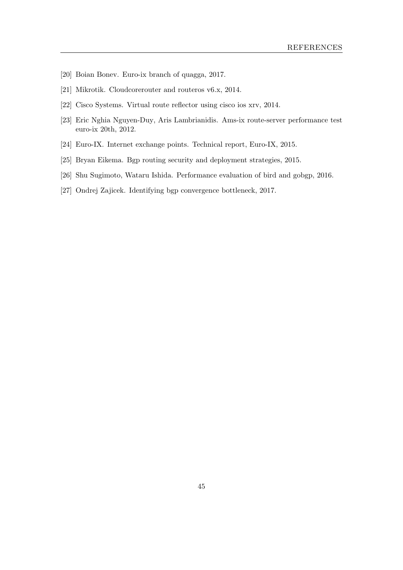- <span id="page-45-0"></span>[20] Boian Bonev. Euro-ix branch of quagga, 2017.
- <span id="page-45-1"></span>[21] Mikrotik. Cloudcorerouter and routeros v6.x, 2014.
- <span id="page-45-2"></span>[22] Cisco Systems. Virtual route reflector using cisco ios xrv, 2014.
- <span id="page-45-3"></span>[23] Eric Nghia Nguyen-Duy, Aris Lambrianidis. Ams-ix route-server performance test euro-ix 20th, 2012.
- <span id="page-45-4"></span>[24] Euro-IX. Internet exchange points. Technical report, Euro-IX, 2015.
- <span id="page-45-5"></span>[25] Bryan Eikema. Bgp routing security and deployment strategies, 2015.
- <span id="page-45-6"></span>[26] Shu Sugimoto, Wataru Ishida. Performance evaluation of bird and gobgp, 2016.
- <span id="page-45-7"></span>[27] Ondrej Zajicek. Identifying bgp convergence bottleneck, 2017.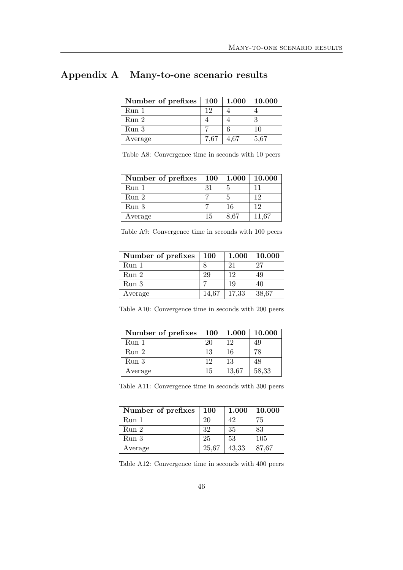## <span id="page-46-0"></span>Appendix A Many-to-one scenario results

| Number of prefixes | <b>100</b> | 1.000 | 10.000 |
|--------------------|------------|-------|--------|
| Run 1              | 19         |       |        |
| Run 2              |            |       |        |
| Run 3              |            |       | 10     |
| Average            | 7.67       | 4.67  | 5,67   |

Table A8: Convergence time in seconds with 10 peers

| Number of prefixes | <b>100</b> | 1.000 | 10.000 |
|--------------------|------------|-------|--------|
| Run 1              | 31         | 5     |        |
| Run 2              |            | 5     | 12     |
| Run 3              |            | 16    | 12     |
| Average            | 15         | 8,67  | 11,67  |

Table A9: Convergence time in seconds with 100 peers

| Number of prefixes | <b>100</b> | 1.000 | 10.000 |
|--------------------|------------|-------|--------|
| Run <sub>1</sub>   |            | 21    | 27     |
| Run 2              | 29         | 19    | 49     |
| Run <sub>3</sub>   |            | 19    | 40     |
| Average            | 14.67      | 17,33 | 38,67  |

Table A10: Convergence time in seconds with 200 peers

| Number of prefixes | <b>100</b> |       | $1.000 \mid 10.000$ |
|--------------------|------------|-------|---------------------|
| Run 1              | 20         | 12    | 49                  |
| Run 2              | 13         | 16    | 78                  |
| Run 3              | 19         | 13    | 48                  |
| Average            | 15         | 13,67 | 58,33               |

|  |  | Table A11: Convergence time in seconds with 300 peers |  |  |  |  |  |  |
|--|--|-------------------------------------------------------|--|--|--|--|--|--|
|--|--|-------------------------------------------------------|--|--|--|--|--|--|

| Number of prefixes | <b>100</b> | 1.000 | 10.000 |
|--------------------|------------|-------|--------|
| Run 1              | 20         | 42    | 75     |
| Run 2              | 32         | 35    | 83     |
| Run <sub>3</sub>   | 25         | 53    | 105    |
| Average            | 25,67      | 43,33 | 87,67  |

Table A12: Convergence time in seconds with 400 peers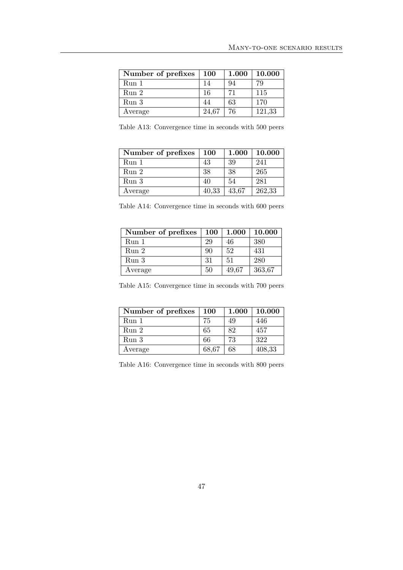| Number of prefixes | <b>100</b> | 1.000 | 10.000 |
|--------------------|------------|-------|--------|
| Run <sub>1</sub>   | 14         | 94    | 79     |
| Run 2              | 16         | 71    | 115    |
| Run <sub>3</sub>   | 44         | 63    | 170    |
| Average            | 24,67      | 76    | 121,33 |

Table A13: Convergence time in seconds with 500 peers

| Number of prefixes | <b>100</b> | 1.000 | 10.000 |
|--------------------|------------|-------|--------|
| Run 1              | 43         | 39    | 241    |
| Run 2              | 38         | 38    | 265    |
| Run <sub>3</sub>   | 40         | 54    | 281    |
| Average            | 40,33      | 43.67 | 262,33 |

| Number of prefixes   100   1.000   10.000 |     |     |     |
|-------------------------------------------|-----|-----|-----|
| Run 1                                     |     | 46  | 380 |
| Run <sub>2</sub>                          | 90  | 52  | 431 |
| Run 3                                     | -31 | .51 | 280 |

Table A14: Convergence time in seconds with 600 peers

Table A15: Convergence time in seconds with 700 peers

| Average | 50 | 49,67 | 363,67

| Number of prefixes | <b>100</b> | 1.000 | 10.000 |
|--------------------|------------|-------|--------|
| Run 1              | 75         | 49    | 446    |
| Run 2              | 65         | 82    | 457    |
| Run <sub>3</sub>   | 66         | 73    | 322    |
| Average            | 68,67      | 68    | 408,33 |

Table A16: Convergence time in seconds with 800 peers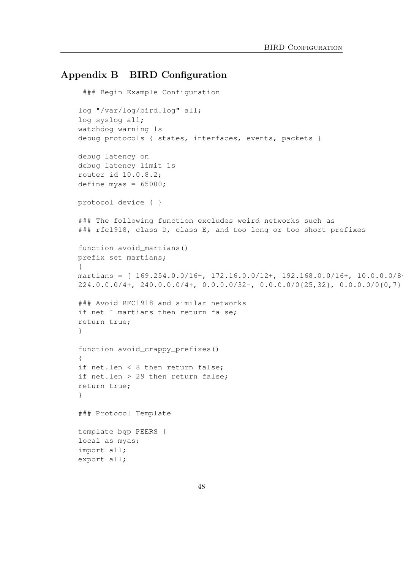## <span id="page-48-0"></span>Appendix B BIRD Configuration

```
### Begin Example Configuration
log "/var/log/bird.log" all;
log syslog all;
watchdog warning 1s
debug protocols { states, interfaces, events, packets }
debug latency on
debug latency limit 1s
router id 10.0.8.2;
define myas = 65000;
protocol device { }
### The following function excludes weird networks such as
### rfc1918, class D, class E, and too long or too short prefixes
function avoid martians()
prefix set martians;
\left| \cdot \right|martians = [169.254.0.0/16+, 172.16.0.0/12+, 192.168.0.0/16+, 10.0.0.0/8224.0.0.0/4+, 240.0.0.0/4+, 0.0.0.0/32-, 0.0.0.0/0\{25,32\}, 0.0.0.0/0\{0,7\}### Avoid RFC1918 and similar networks
if net \tilde{ } martians then return false;
return true;
}
function avoid_crappy_prefixes()
{
if net.len < 8 then return false;
if net.len > 29 then return false;
return true;
}
### Protocol Template
template bgp PEERS {
local as myas;
import all;
export all;
```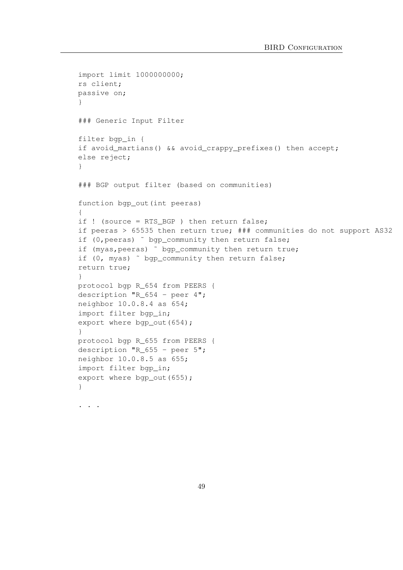```
import limit 1000000000;
rs client;
passive on;
}
### Generic Input Filter
filter bgp_in {
if avoid_martians() && avoid_crappy_prefixes() then accept;
else reject;
}
### BGP output filter (based on communities)
function bgp_out(int peeras)
{
if ! (source = RTS_BGP ) then return false;
if peeras > 65535 then return true; ### communities do not support AS32
if (0, peeras) \tilde{ } bgp_community then return false;
if (myas, peeras) ~ bgp_community then return true;
if (0, myas) ˜ bgp_community then return false;
return true;
}
protocol bgp R_654 from PEERS {
description "R 654 - peer 4";
neighbor 10.0.8.4 as 654;
import filter bgp_in;
export where bgp out (654);
}
protocol bgp R_655 from PEERS {
description "R_655 - peer 5";
neighbor 10.0.8.5 as 655;
import filter bgp_in;
export where bqp_out (655);
}
. . . . .
```